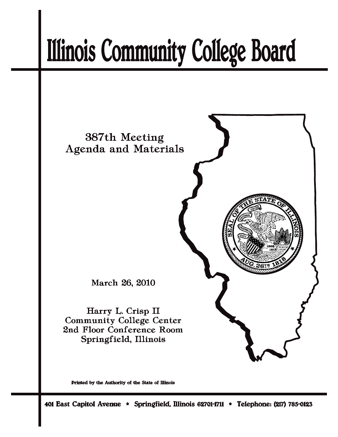# **Illinois Community College Board**



Printed by the Authority of the State of Illinois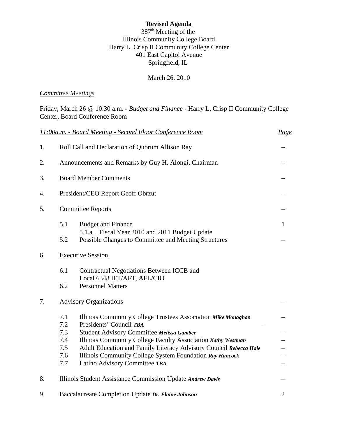# **Revised Agenda**

 $387<sup>th</sup>$  Meeting of the Illinois Community College Board Harry L. Crisp II Community College Center 401 East Capitol Avenue Springfield, IL

March 26, 2010

# *Committee Meetings*

Friday, March 26 @ 10:30 a.m. - *Budget and Finance* - Harry L. Crisp II Community College Center, Board Conference Room

|    |                              | 11:00a.m. - Board Meeting - Second Floor Conference Room                                               | Page           |  |  |  |
|----|------------------------------|--------------------------------------------------------------------------------------------------------|----------------|--|--|--|
| 1. |                              | Roll Call and Declaration of Quorum Allison Ray                                                        |                |  |  |  |
| 2. |                              | Announcements and Remarks by Guy H. Alongi, Chairman                                                   |                |  |  |  |
| 3. | <b>Board Member Comments</b> |                                                                                                        |                |  |  |  |
| 4. |                              | President/CEO Report Geoff Obrzut                                                                      |                |  |  |  |
| 5. |                              | <b>Committee Reports</b>                                                                               |                |  |  |  |
|    | 5.1                          | <b>Budget and Finance</b>                                                                              | 1              |  |  |  |
|    | 5.2                          | 5.1.a. Fiscal Year 2010 and 2011 Budget Update<br>Possible Changes to Committee and Meeting Structures |                |  |  |  |
| 6. | <b>Executive Session</b>     |                                                                                                        |                |  |  |  |
|    | 6.1                          | Contractual Negotiations Between ICCB and                                                              |                |  |  |  |
|    | 6.2                          | Local 6348 IFT/AFT, AFL/CIO<br><b>Personnel Matters</b>                                                |                |  |  |  |
| 7. |                              | <b>Advisory Organizations</b>                                                                          |                |  |  |  |
|    | 7.1                          | Illinois Community College Trustees Association Mike Monaghan                                          |                |  |  |  |
|    | 7.2                          | Presidents' Council TBA                                                                                |                |  |  |  |
|    | 7.3                          | Student Advisory Committee Melissa Gamber                                                              |                |  |  |  |
|    | 7.4                          | Illinois Community College Faculty Association Kathy Westman                                           |                |  |  |  |
|    | 7.5                          | Adult Education and Family Literacy Advisory Council Rebecca Hale                                      |                |  |  |  |
|    | 7.6<br>7.7                   | Illinois Community College System Foundation Ray Hancock<br>Latino Advisory Committee TBA              |                |  |  |  |
|    |                              |                                                                                                        |                |  |  |  |
| 8. |                              | Illinois Student Assistance Commission Update Andrew Davis                                             |                |  |  |  |
| 9. |                              | Baccalaureate Completion Update Dr. Elaine Johnson                                                     | $\overline{2}$ |  |  |  |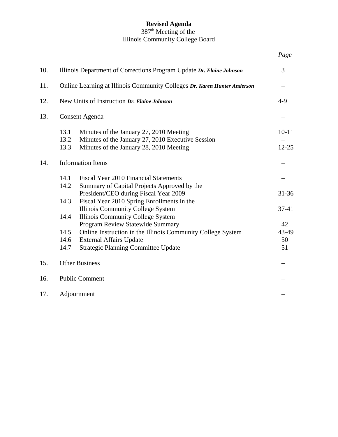# **Revised Agenda**

#### 387<sup>th</sup> Meeting of the Illinois Community College Board

| 10. | Illinois Department of Corrections Program Update Dr. Elaine Johnson                                                                                                                                    |                         |  |  |  |
|-----|---------------------------------------------------------------------------------------------------------------------------------------------------------------------------------------------------------|-------------------------|--|--|--|
| 11. | Online Learning at Illinois Community Colleges Dr. Karen Hunter Anderson                                                                                                                                |                         |  |  |  |
| 12. | New Units of Instruction Dr. Elaine Johnson                                                                                                                                                             |                         |  |  |  |
| 13. | Consent Agenda                                                                                                                                                                                          |                         |  |  |  |
|     | 13.1<br>Minutes of the January 27, 2010 Meeting<br>Minutes of the January 27, 2010 Executive Session<br>13.2<br>13.3<br>Minutes of the January 28, 2010 Meeting                                         | $10 - 11$<br>$12 - 25$  |  |  |  |
| 14. | <b>Information Items</b>                                                                                                                                                                                |                         |  |  |  |
|     | 14.1<br>Fiscal Year 2010 Financial Statements<br>14.2<br>Summary of Capital Projects Approved by the<br>President/CEO during Fiscal Year 2009                                                           | $31 - 36$               |  |  |  |
|     | 14.3<br>Fiscal Year 2010 Spring Enrollments in the<br><b>Illinois Community College System</b><br>Illinois Community College System<br>14.4                                                             | $37 - 41$               |  |  |  |
|     | Program Review Statewide Summary<br>14.5<br>Online Instruction in the Illinois Community College System<br><b>External Affairs Update</b><br>14.6<br>14.7<br><b>Strategic Planning Committee Update</b> | 42<br>43-49<br>50<br>51 |  |  |  |
| 15. | <b>Other Business</b>                                                                                                                                                                                   |                         |  |  |  |
| 16. | <b>Public Comment</b>                                                                                                                                                                                   |                         |  |  |  |
| 17. | Adjournment                                                                                                                                                                                             |                         |  |  |  |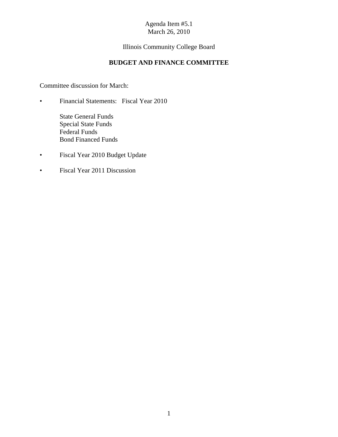# Illinois Community College Board

# **BUDGET AND FINANCE COMMITTEE**

Committee discussion for March:

- Financial Statements: Fiscal Year 2010
	- State General Funds Special State Funds Federal Funds Bond Financed Funds
- Fiscal Year 2010 Budget Update
- Fiscal Year 2011 Discussion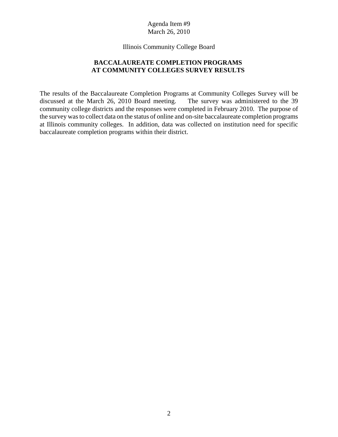Illinois Community College Board

# **BACCALAUREATE COMPLETION PROGRAMS AT COMMUNITY COLLEGES SURVEY RESULTS**

The results of the Baccalaureate Completion Programs at Community Colleges Survey will be discussed at the March 26, 2010 Board meeting. The survey was administered to the 39 community college districts and the responses were completed in February 2010. The purpose of the survey was to collect data on the status of online and on-site baccalaureate completion programs at Illinois community colleges. In addition, data was collected on institution need for specific baccalaureate completion programs within their district.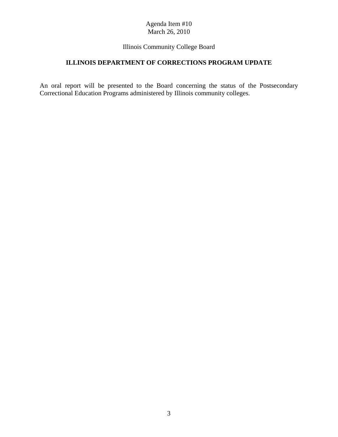# Illinois Community College Board

# **ILLINOIS DEPARTMENT OF CORRECTIONS PROGRAM UPDATE**

An oral report will be presented to the Board concerning the status of the Postsecondary Correctional Education Programs administered by Illinois community colleges.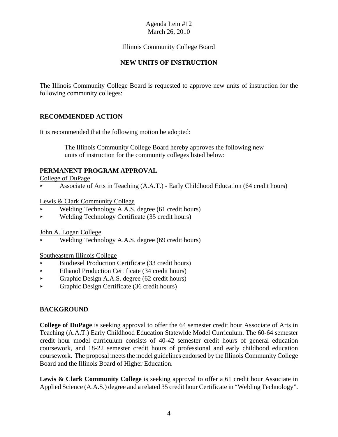# Illinois Community College Board

# **NEW UNITS OF INSTRUCTION**

The Illinois Community College Board is requested to approve new units of instruction for the following community colleges:

# **RECOMMENDED ACTION**

It is recommended that the following motion be adopted:

 The Illinois Community College Board hereby approves the following new units of instruction for the community colleges listed below:

# **PERMANENT PROGRAM APPROVAL**

College of DuPage

< Associate of Arts in Teaching (A.A.T.) - Early Childhood Education (64 credit hours)

Lewis & Clark Community College

- Welding Technology A.A.S. degree (61 credit hours)
- $\blacktriangleright$  Welding Technology Certificate (35 credit hours)

John A. Logan College

Welding Technology A.A.S. degree (69 credit hours)

Southeastern Illinois College

- < Biodiesel Production Certificate (33 credit hours)
- $\blacktriangleright$  Ethanol Production Certificate (34 credit hours)
- $\triangleright$  Graphic Design A.A.S. degree (62 credit hours)
- $\blacktriangleright$  Graphic Design Certificate (36 credit hours)

# **BACKGROUND**

**College of DuPage** is seeking approval to offer the 64 semester credit hour Associate of Arts in Teaching (A.A.T.) Early Childhood Education Statewide Model Curriculum. The 60-64 semester credit hour model curriculum consists of 40-42 semester credit hours of general education coursework, and 18-22 semester credit hours of professional and early childhood education coursework. The proposal meets the model guidelines endorsed by the Illinois Community College Board and the Illinois Board of Higher Education.

Lewis & Clark Community College is seeking approval to offer a 61 credit hour Associate in Applied Science (A.A.S.) degree and a related 35 credit hour Certificate in "Welding Technology".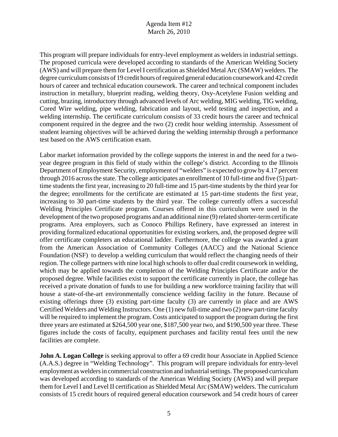This program will prepare individuals for entry-level employment as welders in industrial settings. The proposed curricula were developed according to standards of the American Welding Society (AWS) and will prepare them for Level I certification as Shielded Metal Arc (SMAW) welders. The degree curriculum consists of 19 credit hours of required general education coursework and 42 credit hours of career and technical education coursework. The career and technical component includes instruction in metallury, blueprint reading, welding theory, Oxy-Acetylene Fusion welding and cutting, brazing, introductory through advanced levels of Arc welding, MIG welding, TIG welding, Cored Wire welding, pipe welding, fabrication and layout, weld testing and inspection, and a welding internship. The certificate curriculum consists of 33 credit hours the career and technical component required in the degree and the two (2) credit hour welding internship. Assessment of student learning objectives will be achieved during the welding internship through a performance test based on the AWS certification exam.

Labor market information provided by the college supports the interest in and the need for a twoyear degree program in this field of study within the college's district. According to the Illinois Department of Employment Security, employment of "welders" is expected to grow by 4.17 percent through 2016 across the state. The college anticipates an enrollment of 10 full-time and five (5) parttime students the first year, increasing to 20 full-time and 15 part-time students by the third year for the degree; enrollments for the certificate are estimated at 15 part-time students the first year, increasing to 30 part-time students by the third year. The college currently offers a successful Welding Principles Certificate program. Courses offered in this curriculum were used in the development of the two proposed programs and an additional nine (9) related shorter-term certificate programs. Area employers, such as Conoco Phillips Refinery, have expressed an interest in providing formalized educational opportunities for existing workers, and, the proposed degree will offer certificate completers an educational ladder. Furthermore, the college was awarded a grant from the American Association of Community Colleges (AACC) and the National Science Foundation (NSF) to develop a welding curriculum that would reflect the changing needs of their region. The college partners with nine local high schools to offer dual credit coursework in welding, which may be applied towards the completion of the Welding Principles Certificate and/or the proposed degree. While facilities exist to support the certificate currently in place, the college has received a private donation of funds to use for building a new workforce training facility that will house a state-of-the-art environmentally conscience welding facility in the future. Because of existing offerings three (3) existing part-time faculty (3) are currently in place and are AWS Certified Welders and Welding Instructors. One (1) new full-time and two (2) new part-time faculty will be required to implement the program. Costs anticipated to support the program during the first three years are estimated at \$264,500 year one, \$187,500 year two, and \$190,500 year three. These figures include the costs of faculty, equipment purchases and facility rental fees until the new facilities are complete.

**John A. Logan College** is seeking approval to offer a 69 credit hour Associate in Applied Science (A.A.S.) degree in "Welding Technology". This program will prepare individuals for entry-level employment as welders in commercial construction and industrial settings. The proposed curriculum was developed according to standards of the American Welding Society (AWS) and will prepare them for Level I and Level II certification as Shielded Metal Arc (SMAW) welders. The curriculum consists of 15 credit hours of required general education coursework and 54 credit hours of career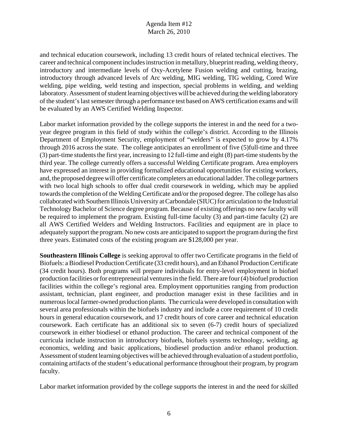and technical education coursework, including 13 credit hours of related technical electives. The career and technical component includes instruction in metallury, blueprint reading, welding theory, introductory and intermediate levels of Oxy-Acetylene Fusion welding and cutting, brazing, introductory through advanced levels of Arc welding, MIG welding, TIG welding, Cored Wire welding, pipe welding, weld testing and inspection, special problems in welding, and welding laboratory. Assessment of student learning objectives will be achieved during the welding laboratory of the student's last semester through a performance test based on AWS certification exams and will be evaluated by an AWS Certified Welding Inspector.

Labor market information provided by the college supports the interest in and the need for a twoyear degree program in this field of study within the college's district. According to the Illinois Department of Employment Security, employment of "welders" is expected to grow by 4.17% through 2016 across the state. The college anticipates an enrollment of five (5)full-time and three (3) part-time students the first year, increasing to 12 full-time and eight (8) part-time students by the third year. The college currently offers a successful Welding Certificate program. Area employers have expressed an interest in providing formalized educational opportunities for existing workers, and, the proposed degree will offer certificate completers an educational ladder. The college partners with two local high schools to offer dual credit coursework in welding, which may be applied towards the completion of the Welding Certificate and/or the proposed degree. The college has also collaborated with Southern Illinois University at Carbondale (SIUC) for articulation to the Industrial Technology Bachelor of Science degree program. Because of existing offerings no new faculty will be required to implement the program. Existing full-time faculty (3) and part-time faculty (2) are all AWS Certified Welders and Welding Instructors. Facilities and equipment are in place to adequately support the program. No new costs are anticipated to support the program during the first three years. Estimated costs of the existing program are \$128,000 per year.

**Southeastern Illinois College** is seeking approval to offer two Certificate programs in the field of Biofuels: a Biodiesel Production Certificate (33 credit hours), and an Ethanol Production Certificate (34 credit hours). Both programs will prepare individuals for entry-level employment in biofuel production facilities or for entrepreneurial ventures in the field. There are four (4) biofuel production facilities within the college's regional area. Employment opportunities ranging from production assistant, technician, plant engineer, and production manager exist in these facilities and in numerous local farmer-owned production plants. The curricula were developed in consultation with several area professionals within the biofuels industry and include a core requirement of 10 credit hours in general education coursework, and 17 credit hours of core career and technical education coursework. Each certificate has an additional six to seven (6-7) credit hours of specialized coursework in either biodiesel or ethanol production. The career and technical component of the curricula include instruction in introductory biofuels, biofuels systems technology, welding, ag economics, welding and basic applications, biodiesel production and/or ethanol production. Assessment of student learning objectives will be achieved through evaluation of a student portfolio, containing artifacts of the student's educational performance throughout their program, by program faculty.

Labor market information provided by the college supports the interest in and the need for skilled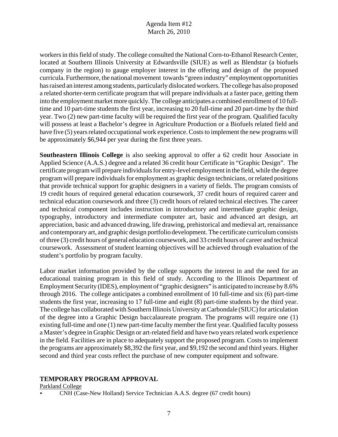workers in this field of study. The college consulted the National Corn-to-Ethanol Research Center, located at Southern Illinois University at Edwardsville (SIUE) as well as Blendstar (a biofuels company in the region) to gauge employer interest in the offering and design of the proposed curricula. Furthermore, the national movement towards "green industry" employment opportunities has raised an interest among students, particularly dislocated workers. The college has also proposed a related shorter-term certificate program that will prepare individuals at a faster pace, getting them into the employment market more quickly. The college anticipates a combined enrollment of 10 fulltime and 10 part-time students the first year, increasing to 20 full-time and 20 part-time by the third year. Two (2) new part-time faculty will be required the first year of the program. Qualified faculty will possess at least a Bachelor's degree in Agriculture Production or a Biofuels related field and have five (5) years related occupational work experience. Costs to implement the new programs will be approximately \$6,944 per year during the first three years.

**Southeastern Illinois College** is also seeking approval to offer a 62 credit hour Associate in Applied Science (A.A.S.) degree and a related 36 credit hour Certificate in "Graphic Design". The certificate program will prepare individuals for entry-level employment in the field, while the degree program will prepare individuals for employment as graphic design technicians, or related positions that provide technical support for graphic designers in a variety of fields. The program consists of 19 credit hours of required general education coursework, 37 credit hours of required career and technical education coursework and three (3) credit hours of related technical electives. The career and technical component includes instruction in introductory and intermediate graphic design, typography, introductory and intermediate computer art, basic and advanced art design, art appreciation, basic and advanced drawing, life drawing, prehistorical and medieval art, renaissance and contemporary art, and graphic design portfolio development. The certificate curriculum consists of three (3) credit hours of general education coursework, and 33 credit hours of career and technical coursework. Assessment of student learning objectives will be achieved through evaluation of the student's portfolio by program faculty.

Labor market information provided by the college supports the interest in and the need for an educational training program in this field of study. According to the Illinois Department of Employment Security (IDES), employment of "graphic designers" is anticipated to increase by 8.6% through 2016. The college anticipates a combined enrollment of 10 full-time and six (6) part-time students the first year, increasing to 17 full-time and eight (8) part-time students by the third year. The college has collaborated with Southern Illinois University at Carbondale (SIUC) for articulation of the degree into a Graphic Design baccalaureate program. The programs will require one (1) existing full-time and one (1) new part-time faculty member the first year. Qualified faculty possess a Master's degree in Graphic Design or art-related field and have two years related work experience in the field. Facilities are in place to adequately support the proposed program. Costs to implement the programs are approximately \$8,392 the first year, and \$9,192 the second and third years. Higher second and third year costs reflect the purchase of new computer equipment and software.

# **TEMPORARY PROGRAM APPROVAL**

Parkland College

< CNH (Case-New Holland) Service Technician A.A.S. degree (67 credit hours)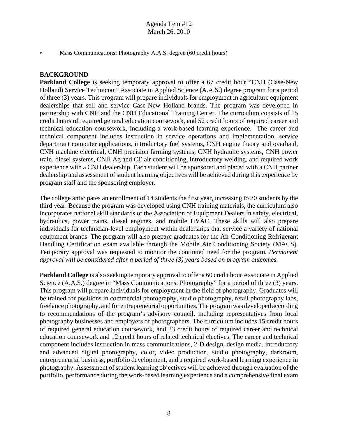Mass Communications: Photography A.A.S. degree (60 credit hours)

## **BACKGROUND**

**Parkland College** is seeking temporary approval to offer a 67 credit hour "CNH (Case-New Holland) Service Technician" Associate in Applied Science (A.A.S.) degree program for a period of three (3) years. This program will prepare individuals for employment in agriculture equipment dealerships that sell and service Case-New Holland brands. The program was developed in partnership with CNH and the CNH Educational Training Center. The curriculum consists of 15 credit hours of required general education coursework, and 52 credit hours of required career and technical education coursework, including a work-based learning experience. The career and technical component includes instruction in service operations and implementation, service department computer applications, introductory fuel systems, CNH engine theory and overhaul, CNH machine electrical, CNH precision farming systems, CNH hydraulic systems, CNH power train, diesel systems, CNH Ag and CE air conditioning, introductory welding, and required work experience with a CNH dealership. Each student will be sponsored and placed with a CNH partner dealership and assessment of student learning objectives will be achieved during this experience by program staff and the sponsoring employer.

The college anticipates an enrollment of 14 students the first year, increasing to 30 students by the third year. Because the program was developed using CNH training materials, the curriculum also incorporates national skill standards of the Association of Equipment Dealers in safety, electrical, hydraulics, power trains, diesel engines, and mobile HVAC. These skills will also prepare individuals for technician-level employment within dealerships that service a variety of national equipment brands. The program will also prepare graduates for the Air Conditioning Refrigerant Handling Certification exam available through the Mobile Air Conditioning Society (MACS). Temporary approval was requested to monitor the continued need for the program. *Permanent approval will be considered after a period of three (3) years based on program outcomes.* 

**Parkland College** is also seeking temporary approval to offer a 60 credit hour Associate in Applied Science (A.A.S.) degree in "Mass Communications: Photography" for a period of three (3) years. This program will prepare individuals for employment in the field of photography. Graduates will be trained for positions in commercial photography, studio photography, retail photography labs, freelance photography, and for entrepreneurial opportunities. The program was developed according to recommendations of the program's advisory council, including representatives from local photography businesses and employers of photographers. The curriculum includes 15 credit hours of required general education coursework, and 33 credit hours of required career and technical education coursework and 12 credit hours of related technical electives. The career and technical component includes instruction in mass communications, 2-D design, design media, introductory and advanced digital photography, color, video production, studio photography, darkroom, entrepreneurial business, portfolio development, and a required work-based learning experience in photography. Assessment of student learning objectives will be achieved through evaluation of the portfolio, performance during the work-based learning experience and a comprehensive final exam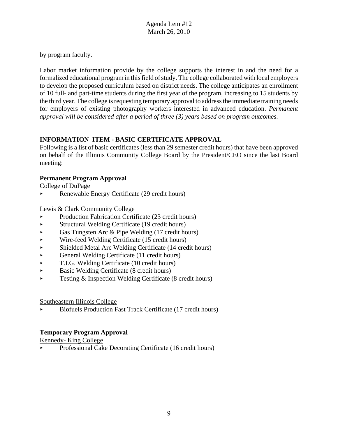by program faculty.

Labor market information provide by the college supports the interest in and the need for a formalized educational program in this field of study. The college collaborated with local employers to develop the proposed curriculum based on district needs. The college anticipates an enrollment of 10 full- and part-time students during the first year of the program, increasing to 15 students by the third year. The college is requesting temporary approval to address the immediate training needs for employers of existing photography workers interested in advanced education. *Permanent approval will be considered after a period of three (3) years based on program outcomes.* 

# **INFORMATION ITEM - BASIC CERTIFICATE APPROVAL**

Following is a list of basic certificates (less than 29 semester credit hours) that have been approved on behalf of the Illinois Community College Board by the President/CEO since the last Board meeting:

# **Permanent Program Approval**

College of DuPage

< Renewable Energy Certificate (29 credit hours)

Lewis & Clark Community College

- < Production Fabrication Certificate (23 credit hours)
- < Structural Welding Certificate (19 credit hours)
- Gas Tungsten Arc & Pipe Welding  $(17 \text{ credit hours})$
- < Wire-feed Welding Certificate (15 credit hours)
- < Shielded Metal Arc Welding Certificate (14 credit hours)
- $\blacktriangleright$  General Welding Certificate (11 credit hours)
- $\blacktriangleright$  T.I.G. Welding Certificate (10 credit hours)
- < Basic Welding Certificate (8 credit hours)
- $\triangleright$  Testing & Inspection Welding Certificate (8 credit hours)

# Southeastern Illinois College

< Biofuels Production Fast Track Certificate (17 credit hours)

# **Temporary Program Approval**

Kennedy- King College

< Professional Cake Decorating Certificate (16 credit hours)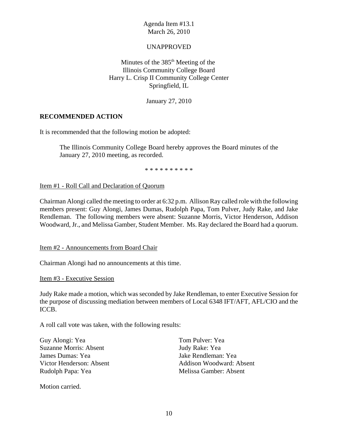## UNAPPROVED

Minutes of the  $385<sup>th</sup>$  Meeting of the Illinois Community College Board Harry L. Crisp II Community College Center Springfield, IL

January 27, 2010

#### **RECOMMENDED ACTION**

It is recommended that the following motion be adopted:

The Illinois Community College Board hereby approves the Board minutes of the January 27, 2010 meeting, as recorded.

\* \* \* \* \* \* \* \* \* \*

Item #1 - Roll Call and Declaration of Quorum

Chairman Alongi called the meeting to order at 6:32 p.m. Allison Ray called role with the following members present: Guy Alongi, James Dumas, Rudolph Papa, Tom Pulver, Judy Rake, and Jake Rendleman. The following members were absent: Suzanne Morris, Victor Henderson, Addison Woodward, Jr., and Melissa Gamber, Student Member. Ms. Ray declared the Board had a quorum.

Item #2 - Announcements from Board Chair

Chairman Alongi had no announcements at this time.

Item #3 - Executive Session

Judy Rake made a motion, which was seconded by Jake Rendleman, to enter Executive Session for the purpose of discussing mediation between members of Local 6348 IFT/AFT, AFL/CIO and the ICCB.

A roll call vote was taken, with the following results:

Guy Alongi: Yea Suzanne Morris: Absent James Dumas: Yea Victor Henderson: Absent Rudolph Papa: Yea

Tom Pulver: Yea Judy Rake: Yea Jake Rendleman: Yea Addison Woodward: Absent Melissa Gamber: Absent

Motion carried.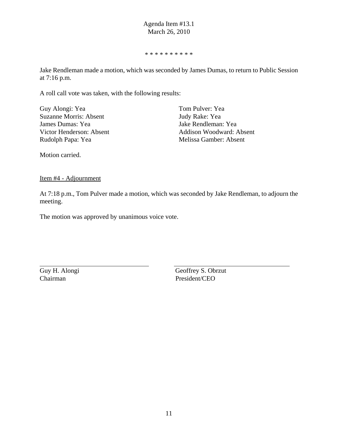\* \* \* \* \* \* \* \* \* \*

Jake Rendleman made a motion, which was seconded by James Dumas, to return to Public Session at 7:16 p.m.

A roll call vote was taken, with the following results:

| Guy Alongi: Yea               |
|-------------------------------|
| <b>Suzanne Morris: Absent</b> |
| James Dumas: Yea              |
| Victor Henderson: Absent      |
| Rudolph Papa: Yea             |
|                               |

Tom Pulver: Yea Judy Rake: Yea Jake Rendleman: Yea Addison Woodward: Absent Melissa Gamber: Absent

Motion carried.

Item #4 - Adjournment

At 7:18 p.m., Tom Pulver made a motion, which was seconded by Jake Rendleman, to adjourn the meeting.

The motion was approved by unanimous voice vote.

Chairman President/CEO

Guy H. Alongi Geoffrey S. Obrzut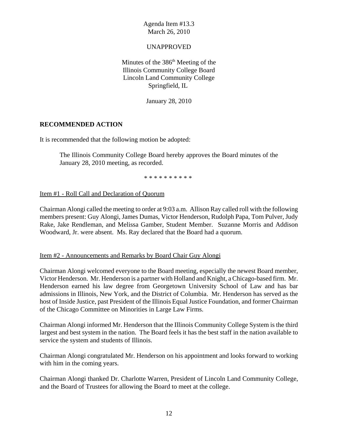#### UNAPPROVED

Minutes of the  $386<sup>th</sup>$  Meeting of the Illinois Community College Board Lincoln Land Community College Springfield, IL

January 28, 2010

#### **RECOMMENDED ACTION**

It is recommended that the following motion be adopted:

The Illinois Community College Board hereby approves the Board minutes of the January 28, 2010 meeting, as recorded.

\* \* \* \* \* \* \* \* \* \*

#### Item #1 - Roll Call and Declaration of Quorum

Chairman Alongi called the meeting to order at 9:03 a.m. Allison Ray called roll with the following members present: Guy Alongi, James Dumas, Victor Henderson, Rudolph Papa, Tom Pulver, Judy Rake, Jake Rendleman, and Melissa Gamber, Student Member. Suzanne Morris and Addison Woodward, Jr. were absent. Ms. Ray declared that the Board had a quorum.

#### Item #2 - Announcements and Remarks by Board Chair Guy Alongi

Chairman Alongi welcomed everyone to the Board meeting, especially the newest Board member, Victor Henderson. Mr. Henderson is a partner with Holland and Knight, a Chicago-based firm. Mr. Henderson earned his law degree from Georgetown University School of Law and has bar admissions in Illinois, New York, and the District of Columbia. Mr. Henderson has served as the host of Inside Justice, past President of the Illinois Equal Justice Foundation, and former Chairman of the Chicago Committee on Minorities in Large Law Firms.

Chairman Alongi informed Mr. Henderson that the Illinois Community College System is the third largest and best system in the nation. The Board feels it has the best staff in the nation available to service the system and students of Illinois.

Chairman Alongi congratulated Mr. Henderson on his appointment and looks forward to working with him in the coming years.

Chairman Alongi thanked Dr. Charlotte Warren, President of Lincoln Land Community College, and the Board of Trustees for allowing the Board to meet at the college.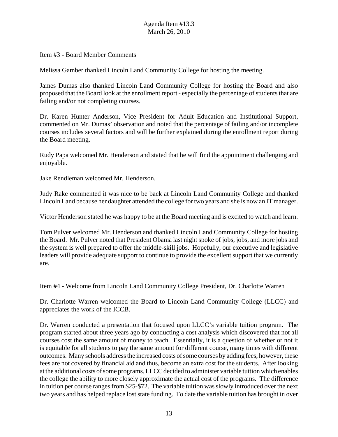#### Item #3 - Board Member Comments

Melissa Gamber thanked Lincoln Land Community College for hosting the meeting.

James Dumas also thanked Lincoln Land Community College for hosting the Board and also proposed that the Board look at the enrollment report - especially the percentage of students that are failing and/or not completing courses.

Dr. Karen Hunter Anderson, Vice President for Adult Education and Institutional Support, commented on Mr. Dumas' observation and noted that the percentage of failing and/or incomplete courses includes several factors and will be further explained during the enrollment report during the Board meeting.

Rudy Papa welcomed Mr. Henderson and stated that he will find the appointment challenging and enjoyable.

Jake Rendleman welcomed Mr. Henderson.

Judy Rake commented it was nice to be back at Lincoln Land Community College and thanked Lincoln Land because her daughter attended the college for two years and she is now an IT manager.

Victor Henderson stated he was happy to be at the Board meeting and is excited to watch and learn.

Tom Pulver welcomed Mr. Henderson and thanked Lincoln Land Community College for hosting the Board. Mr. Pulver noted that President Obama last night spoke of jobs, jobs, and more jobs and the system is well prepared to offer the middle-skill jobs. Hopefully, our executive and legislative leaders will provide adequate support to continue to provide the excellent support that we currently are.

#### Item #4 - Welcome from Lincoln Land Community College President, Dr. Charlotte Warren

Dr. Charlotte Warren welcomed the Board to Lincoln Land Community College (LLCC) and appreciates the work of the ICCB.

Dr. Warren conducted a presentation that focused upon LLCC's variable tuition program. The program started about three years ago by conducting a cost analysis which discovered that not all courses cost the same amount of money to teach. Essentially, it is a question of whether or not it is equitable for all students to pay the same amount for different course, many times with different outcomes. Many schools address the increased costs of some courses by adding fees, however, these fees are not covered by financial aid and thus, become an extra cost for the students. After looking at the additional costs of some programs, LLCC decided to administer variable tuition which enables the college the ability to more closely approximate the actual cost of the programs. The difference in tuition per course ranges from \$25-\$72. The variable tuition was slowly introduced over the next two years and has helped replace lost state funding. To date the variable tuition has brought in over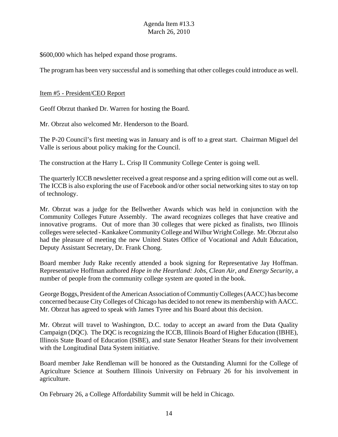\$600,000 which has helped expand those programs.

The program has been very successful and is something that other colleges could introduce as well.

#### Item #5 - President/CEO Report

Geoff Obrzut thanked Dr. Warren for hosting the Board.

Mr. Obrzut also welcomed Mr. Henderson to the Board.

The P-20 Council's first meeting was in January and is off to a great start. Chairman Miguel del Valle is serious about policy making for the Council.

The construction at the Harry L. Crisp II Community College Center is going well.

The quarterly ICCB newsletter received a great response and a spring edition will come out as well. The ICCB is also exploring the use of Facebook and/or other social networking sites to stay on top of technology.

Mr. Obrzut was a judge for the Bellwether Awards which was held in conjunction with the Community Colleges Future Assembly. The award recognizes colleges that have creative and innovative programs. Out of more than 30 colleges that were picked as finalists, two Illinois colleges were selected - Kankakee Community College and Wilbur Wright College. Mr. Obrzut also had the pleasure of meeting the new United States Office of Vocational and Adult Education, Deputy Assistant Secretary, Dr. Frank Chong.

Board member Judy Rake recently attended a book signing for Representative Jay Hoffman. Representative Hoffman authored *Hope in the Heartland: Jobs, Clean Air, and Energy Security*, a number of people from the community college system are quoted in the book.

George Boggs, President of the American Association of Communtiy Colleges (AACC) has become concerned because City Colleges of Chicago has decided to not renew its membership with AACC. Mr. Obrzut has agreed to speak with James Tyree and his Board about this decision.

Mr. Obrzut will travel to Washington, D.C. today to accept an award from the Data Quality Campaign (DQC). The DQC is recognizing the ICCB, Illinois Board of Higher Education (IBHE), Illinois State Board of Education (ISBE), and state Senator Heather Steans for their involvement with the Longitudinal Data System initiative.

Board member Jake Rendleman will be honored as the Outstanding Alumni for the College of Agriculture Science at Southern Illinois University on February 26 for his involvement in agriculture.

On February 26, a College Affordability Summit will be held in Chicago.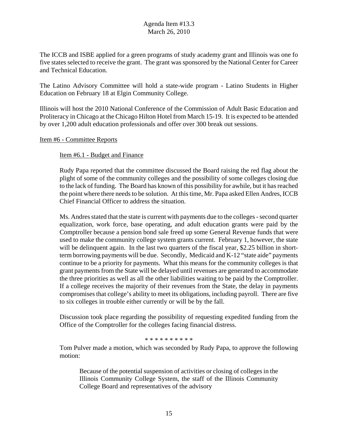The ICCB and ISBE applied for a green programs of study academy grant and Illinois was one fo five states selected to receive the grant. The grant was sponsored by the National Center for Career and Technical Education.

The Latino Advisory Committee will hold a state-wide program - Latino Students in Higher Education on February 18 at Elgin Community College.

Illinois will host the 2010 National Conference of the Commission of Adult Basic Education and Proliteracy in Chicago at the Chicago Hilton Hotel from March 15-19. It is expected to be attended by over 1,200 adult education professionals and offer over 300 break out sessions.

#### Item #6 - Committee Reports

#### Item #6.1 - Budget and Finance

Rudy Papa reported that the committee discussed the Board raising the red flag about the plight of some of the community colleges and the possibility of some colleges closing due to the lack of funding. The Board has known of this possibility for awhile, but it has reached the point where there needs to be solution. At this time, Mr. Papa asked Ellen Andres, ICCB Chief Financial Officer to address the situation.

Ms. Andres stated that the state is current with payments due to the colleges - second quarter equalization, work force, base operating, and adult education grants were paid by the Comptroller because a pension bond sale freed up some General Revenue funds that were used to make the community college system grants current. February 1, however, the state will be delinquent again. In the last two quarters of the fiscal year, \$2.25 billion in shortterm borrowing payments will be due. Secondly, Medicaid and K-12 "state aide" payments continue to be a priority for payments. What this means for the community colleges is that grant payments from the State will be delayed until revenues are generated to accommodate the three priorities as well as all the other liabilities waiting to be paid by the Comptroller. If a college receives the majority of their revenues from the State, the delay in payments compromises that college's ability to meet its obligations, including payroll. There are five to six colleges in trouble either currently or will be by the fall.

Discussion took place regarding the possibility of requesting expedited funding from the Office of the Comptroller for the colleges facing financial distress.

\* \* \* \* \* \* \* \* \* \*

Tom Pulver made a motion, which was seconded by Rudy Papa, to approve the following motion:

Because of the potential suspension of activities or closing of colleges in the Illinois Community College System, the staff of the Illinois Community College Board and representatives of the advisory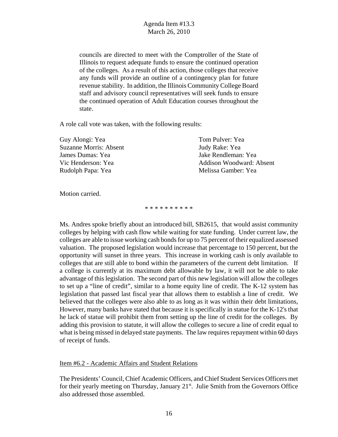councils are directed to meet with the Comptroller of the State of Illinois to request adequate funds to ensure the continued operation of the colleges. As a result of this action, those colleges that receive any funds will provide an outline of a contingency plan for future revenue stability. In addition, the Illinois Community College Board staff and advisory council representatives will seek funds to ensure the continued operation of Adult Education courses throughout the state.

A role call vote was taken, with the following results:

| Guy Alongi: Yea               | Tom Pulver: Yea                 |
|-------------------------------|---------------------------------|
| <b>Suzanne Morris: Absent</b> | Judy Rake: Yea                  |
| James Dumas: Yea              | Jake Rendleman: Yea             |
| Vic Henderson: Yea            | <b>Addison Woodward: Absent</b> |
| Rudolph Papa: Yea             | Melissa Gamber: Yea             |

Motion carried.

\* \* \* \* \* \* \* \* \*

Ms. Andres spoke briefly about an introduced bill, SB2615, that would assist community colleges by helping with cash flow while waiting for state funding. Under current law, the colleges are able to issue working cash bonds for up to 75 percent of their equalized assessed valuation. The proposed legislation would increase that percentage to 150 percent, but the opportunity will sunset in three years. This increase in working cash is only available to colleges that are still able to bond within the parameters of the current debt limitation. If a college is currently at its maximum debt allowable by law, it will not be able to take advantage of this legislation. The second part of this new legislation will allow the colleges to set up a "line of credit", similar to a home equity line of credit. The K-12 system has legislation that passed last fiscal year that allows them to establish a line of credit. We believed that the colleges were also able to as long as it was within their debt limitations, However, many banks have stated that because it is specifically in statue for the K-12's that he lack of statue will prohibit them from setting up the line of credit for the colleges. By adding this provision to statute, it will allow the colleges to secure a line of credit equal to what is being missed in delayed state payments. The law requires repayment within 60 days of receipt of funds.

Item #6.2 - Academic Affairs and Student Relations

The Presidents' Council, Chief Academic Officers, and Chief Student Services Officers met for their yearly meeting on Thursday, January  $21<sup>st</sup>$ . Julie Smith from the Governors Office also addressed those assembled.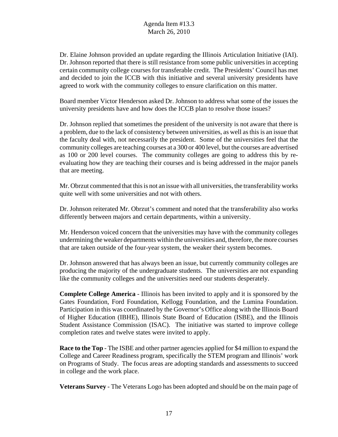Dr. Elaine Johnson provided an update regarding the Illinois Articulation Initiative (IAI). Dr. Johnson reported that there is still resistance from some public universities in accepting certain community college courses for transferable credit. The Presidents' Council has met and decided to join the ICCB with this initiative and several university presidents have agreed to work with the community colleges to ensure clarification on this matter.

Board member Victor Henderson asked Dr. Johnson to address what some of the issues the university presidents have and how does the ICCB plan to resolve those issues?

Dr. Johnson replied that sometimes the president of the university is not aware that there is a problem, due to the lack of consistency between universities, as well as this is an issue that the faculty deal with, not necessarily the president. Some of the universities feel that the community colleges are teaching courses at a 300 or 400 level, but the courses are advertised as 100 or 200 level courses. The community colleges are going to address this by reevaluating how they are teaching their courses and is being addressed in the major panels that are meeting.

Mr. Obrzut commented that this is not an issue with all universities, the transferability works quite well with some universities and not with others.

Dr. Johnson reiterated Mr. Obrzut's comment and noted that the transferability also works differently between majors and certain departments, within a university.

Mr. Henderson voiced concern that the universities may have with the community colleges undermining the weaker departments within the universities and, therefore, the more courses that are taken outside of the four-year system, the weaker their system becomes.

Dr. Johnson answered that has always been an issue, but currently community colleges are producing the majority of the undergraduate students. The universities are not expanding like the community colleges and the universities need our students desperately.

**Complete College America** - Illinois has been invited to apply and it is sponsored by the Gates Foundation, Ford Foundation, Kellogg Foundation, and the Lumina Foundation. Participation in this was coordinated by the Governor's Office along with the Illinois Board of Higher Education (IBHE), Illinois State Board of Education (ISBE), and the Illinois Student Assistance Commission (ISAC). The initiative was started to improve college completion rates and twelve states were invited to apply.

**Race to the Top** - The ISBE and other partner agencies applied for \$4 million to expand the College and Career Readiness program, specifically the STEM program and Illinois' work on Programs of Study. The focus areas are adopting standards and assessments to succeed in college and the work place.

**Veterans Survey** - The Veterans Logo has been adopted and should be on the main page of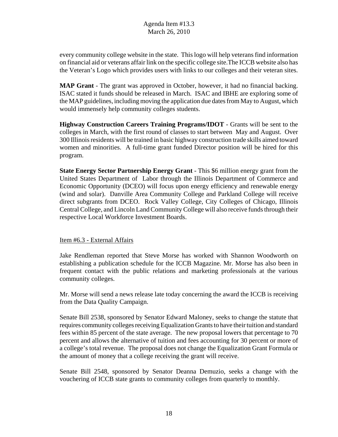every community college website in the state. This logo will help veterans find information on financial aid or veterans affair link on the specific college site.The ICCB website also has the Veteran's Logo which provides users with links to our colleges and their veteran sites.

**MAP Grant** - The grant was approved in October, however, it had no financial backing. ISAC stated it funds should be released in March. ISAC and IBHE are exploring some of the MAP guidelines, including moving the application due dates from May to August, which would immensely help community colleges students.

**Highway Construction Careers Training Programs/IDOT** - Grants will be sent to the colleges in March, with the first round of classes to start between May and August. Over 300 Illinois residents will be trained in basic highway construction trade skills aimed toward women and minorities. A full-time grant funded Director position will be hired for this program.

**State Energy Sector Partnership Energy Grant** - This \$6 million energy grant from the United States Department of Labor through the Illinois Department of Commerce and Economic Opportunity (DCEO) will focus upon energy efficiency and renewable energy (wind and solar). Danville Area Community College and Parkland College will receive direct subgrants from DCEO. Rock Valley College, City Colleges of Chicago, Illinois Central College, and Lincoln Land Community College will also receive funds through their respective Local Workforce Investment Boards.

# Item #6.3 - External Affairs

Jake Rendleman reported that Steve Morse has worked with Shannon Woodworth on establishing a publication schedule for the ICCB Magazine. Mr. Morse has also been in frequent contact with the public relations and marketing professionals at the various community colleges.

Mr. Morse will send a news release late today concerning the award the ICCB is receiving from the Data Quality Campaign.

Senate Bill 2538, sponsored by Senator Edward Maloney, seeks to change the statute that requires community colleges receiving Equalization Grants to have their tuition and standard fees within 85 percent of the state average. The new proposal lowers that percentage to 70 percent and allows the alternative of tuition and fees accounting for 30 percent or more of a college's total revenue. The proposal does not change the Equalization Grant Formula or the amount of money that a college receiving the grant will receive.

Senate Bill 2548, sponsored by Senator Deanna Demuzio, seeks a change with the vouchering of ICCB state grants to community colleges from quarterly to monthly.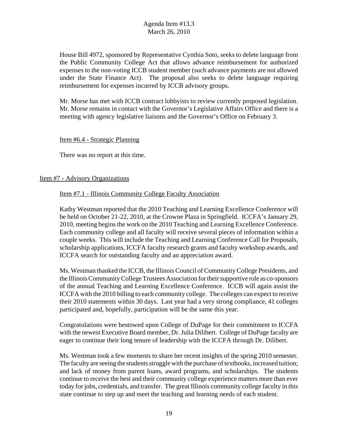House Bill 4972, sponsored by Representative Cynthia Soto, seeks to delete language from the Public Community College Act that allows advance reimbursement for authorized expenses to the non-voting ICCB student member (such advance payments are not allowed under the State Finance Act). The proposal also seeks to delete language requiring reimbursement for expenses incurred by ICCB advisory groups.

Mr. Morse has met with ICCB contract lobbyists to review currently proposed legislation. Mr. Morse remains in contact with the Governor's Legislative Affairs Office and there is a meeting with agency legislative liaisons and the Governor's Office on February 3.

#### Item #6.4 - Strategic Planning

There was no report at this time.

#### Item #7 - Advisory Organizations

#### Item #7.1 - Illinois Community College Faculty Association

Kathy Westman reported that the 2010 Teaching and Learning Excellence Conference will be held on October 21-22, 2010, at the Crowne Plaza in Springfield. ICCFA's January 29, 2010, meeting begins the work on the 2010 Teaching and Learning Excellence Conference. Each community college and all faculty will receive several pieces of information within a couple weeks. This will include the Teaching and Learning Conference Call for Proposals, scholarship applications, ICCFA faculty research grants and faculty workshop awards, and ICCFA search for outstanding faculty and an appreciation award.

Ms. Westman thanked the ICCB, the Illinois Council of Community College Presidents, and the Illinois Community College Trustees Association for their supportive role as co-sponsors of the annual Teaching and Learning Excellence Conference. ICCB will again assist the ICCFA with the 2010 billing to each community college. The colleges can expect to receive their 2010 statements within 30 days. Last year had a very strong compliance, 41 colleges participated and, hopefully, participation will be the same this year.

Congratulations were bestowed upon College of DuPage for their commitment to ICCFA with the newest Executive Board member, Dr. Julia Dilibert. College of DuPage faculty are eager to continue their long tenure of leadership with the ICCFA through Dr. Dilibert.

Ms. Westman took a few moments to share her recent insights of the spring 2010 semester. The faculty are seeing the students struggle with the purchase of textbooks, increased tuition; and lack of money from parent loans, award programs, and scholarships. The students continue to receive the best and their community college experience matters more than ever today for jobs, credentials, and transfer. The great Illinois community college faculty in this state continue to step up and meet the teaching and learning needs of each student.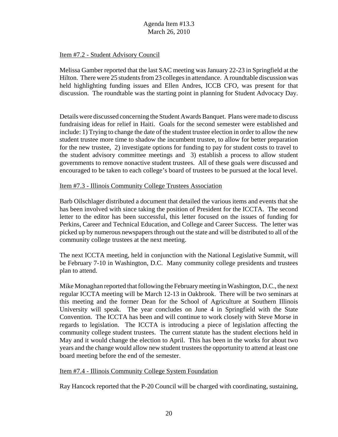#### Item #7.2 - Student Advisory Council

Melissa Gamber reported that the last SAC meeting was January 22-23 in Springfield at the Hilton. There were 25 students from 23 colleges in attendance. A roundtable discussion was held highlighting funding issues and Ellen Andres, ICCB CFO, was present for that discussion. The roundtable was the starting point in planning for Student Advocacy Day.

Details were discussed concerning the Student Awards Banquet. Plans were made to discuss fundraising ideas for relief in Haiti. Goals for the second semester were established and include: 1) Trying to change the date of the student trustee election in order to allow the new student trustee more time to shadow the incumbent trustee, to allow for better preparation for the new trustee, 2) investigate options for funding to pay for student costs to travel to the student advisory committee meetings and 3) establish a process to allow student governments to remove nonactive student trustees. All of these goals were discussed and encouraged to be taken to each college's board of trustees to be pursued at the local level.

#### Item #7.3 - Illinois Community College Trustees Association

Barb Oilschlager distributed a document that detailed the various items and events that she has been involved with since taking the position of President for the ICCTA. The second letter to the editor has been successful, this letter focused on the issues of funding for Perkins, Career and Technical Education, and College and Career Success. The letter was picked up by numerous newspapers through out the state and will be distributed to all of the community college trustees at the next meeting.

The next ICCTA meeting, held in conjunction with the National Legislative Summit, will be February 7-10 in Washington, D.C. Many community college presidents and trustees plan to attend.

Mike Monaghan reported that following the February meeting in Washington, D.C., the next regular ICCTA meeting will be March 12-13 in Oakbrook. There will be two seminars at this meeting and the former Dean for the School of Agriculture at Southern Illinois University will speak. The year concludes on June 4 in Springfield with the State Convention. The ICCTA has been and will continue to work closely with Steve Morse in regards to legislation. The ICCTA is introducing a piece of legislation affecting the community college student trustees. The current statute has the student elections held in May and it would change the election to April. This has been in the works for about two years and the change would allow new student trustees the opportunity to attend at least one board meeting before the end of the semester.

#### Item #7.4 - Illinois Community College System Foundation

Ray Hancock reported that the P-20 Council will be charged with coordinating, sustaining,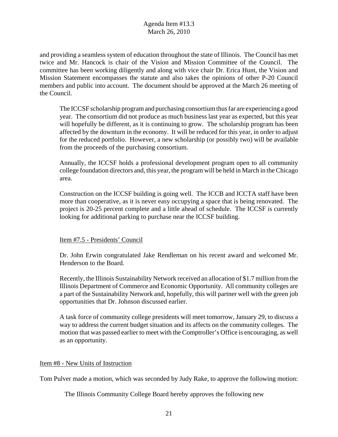and providing a seamless system of education throughout the state of Illinois. The Council has met twice and Mr. Hancock is chair of the Vision and Mission Committee of the Council. The committee has been working diligently and along with vice chair Dr. Erica Hunt, the Vision and Mission Statement encompasses the statute and also takes the opinions of other P-20 Council members and public into account. The document should be approved at the March 26 meeting of the Council.

The ICCSF scholarship program and purchasing consortium thus far are experiencing a good year. The consortium did not produce as much business last year as expected, but this year will hopefully be different, as it is continuing to grow. The scholarship program has been affected by the downturn in the economy. It will be reduced for this year, in order to adjust for the reduced portfolio. However, a new scholarship (or possibly two) will be available from the proceeds of the purchasing consortium.

Annually, the ICCSF holds a professional development program open to all community college foundation directors and, this year, the program will be held in March in the Chicago area.

Construction on the ICCSF building is going well. The ICCB and ICCTA staff have been more than cooperative, as it is never easy occupying a space that is being renovated. The project is 20-25 percent complete and a little ahead of schedule. The ICCSF is currently looking for additional parking to purchase near the ICCSF building.

#### Item #7.5 - Presidents' Council

Dr. John Erwin congratulated Jake Rendleman on his recent award and welcomed Mr. Henderson to the Board.

Recently, the Illinois Sustainability Network received an allocation of \$1.7 million from the Illinois Department of Commerce and Economic Opportunity. All community colleges are a part of the Sustainability Network and, hopefully, this will partner well with the green job opportunities that Dr. Johnson discussed earlier.

A task force of community college presidents will meet tomorrow, January 29, to discuss a way to address the current budget situation and its affects on the community colleges. The motion that was passed earlier to meet with the Comptroller's Office is encouraging, as well as an opportunity.

# Item #8 - New Units of Instruction

Tom Pulver made a motion, which was seconded by Judy Rake, to approve the following motion:

The Illinois Community College Board hereby approves the following new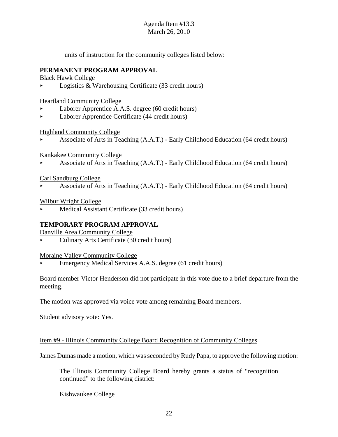units of instruction for the community colleges listed below:

# **PERMANENT PROGRAM APPROVAL**

Black Hawk College

 $\triangleright$  Logistics & Warehousing Certificate (33 credit hours)

Heartland Community College

- < Laborer Apprentice A.A.S. degree (60 credit hours)
- < Laborer Apprentice Certificate (44 credit hours)

Highland Community College

< Associate of Arts in Teaching (A.A.T.) - Early Childhood Education (64 credit hours)

Kankakee Community College

< Associate of Arts in Teaching (A.A.T.) - Early Childhood Education (64 credit hours)

#### Carl Sandburg College

< Associate of Arts in Teaching (A.A.T.) - Early Childhood Education (64 credit hours)

Wilbur Wright College

Medical Assistant Certificate (33 credit hours)

# **TEMPORARY PROGRAM APPROVAL**

Danville Area Community College

< Culinary Arts Certificate (30 credit hours)

Moraine Valley Community College

< Emergency Medical Services A.A.S. degree (61 credit hours)

Board member Victor Henderson did not participate in this vote due to a brief departure from the meeting.

The motion was approved via voice vote among remaining Board members.

Student advisory vote: Yes.

#### Item #9 - Illinois Community College Board Recognition of Community Colleges

James Dumas made a motion, which was seconded by Rudy Papa, to approve the following motion:

The Illinois Community College Board hereby grants a status of "recognition continued" to the following district:

Kishwaukee College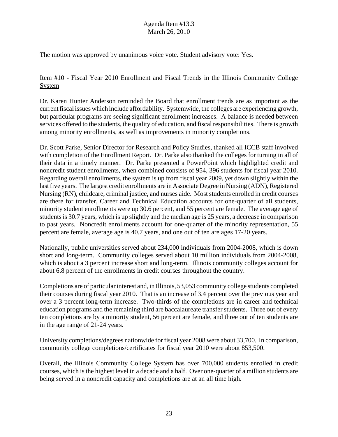The motion was approved by unanimous voice vote. Student advisory vote: Yes.

# Item #10 - Fiscal Year 2010 Enrollment and Fiscal Trends in the Illinois Community College System

Dr. Karen Hunter Anderson reminded the Board that enrollment trends are as important as the current fiscal issues which include affordability. Systemwide, the colleges are experiencing growth, but particular programs are seeing significant enrollment increases. A balance is needed between services offered to the students, the quality of education, and fiscal responsibilities. There is growth among minority enrollments, as well as improvements in minority completions.

Dr. Scott Parke, Senior Director for Research and Policy Studies, thanked all ICCB staff involved with completion of the Enrollment Report. Dr. Parke also thanked the colleges for turning in all of their data in a timely manner. Dr. Parke presented a PowerPoint which highlighted credit and noncredit student enrollments, when combined consists of 954, 396 students for fiscal year 2010. Regarding overall enrollments, the system is up from fiscal year 2009, yet down slightly within the last five years. The largest credit enrollments are in Associate Degree in Nursing (ADN), Registered Nursing (RN), childcare, criminal justice, and nurses aide. Most students enrolled in credit courses are there for transfer, Career and Technical Education accounts for one-quarter of all students, minority student enrollments were up 30.6 percent, and 55 percent are female. The average age of students is 30.7 years, which is up slightly and the median age is 25 years, a decrease in comparison to past years. Noncredit enrollments account for one-quarter of the minority representation, 55 percent are female, average age is 40.7 years, and one out of ten are ages 17-20 years.

Nationally, public universities served about 234,000 individuals from 2004-2008, which is down short and long-term. Community colleges served about 10 million individuals from 2004-2008, which is about a 3 percent increase short and long-term. Illinois community colleges account for about 6.8 percent of the enrollments in credit courses throughout the country.

Completions are of particular interest and, in Illinois, 53,053 community college students completed their courses during fiscal year 2010. That is an increase of 3.4 percent over the previous year and over a 3 percent long-term increase. Two-thirds of the completions are in career and technical education programs and the remaining third are baccalaureate transfer students. Three out of every ten completions are by a minority student, 56 percent are female, and three out of ten students are in the age range of 21-24 years.

University completions/degrees nationwide for fiscal year 2008 were about 33,700. In comparison, community college completions/certificates for fiscal year 2010 were about 853,500.

Overall, the Illinois Community College System has over 700,000 students enrolled in credit courses, which is the highest level in a decade and a half. Over one-quarter of a million students are being served in a noncredit capacity and completions are at an all time high.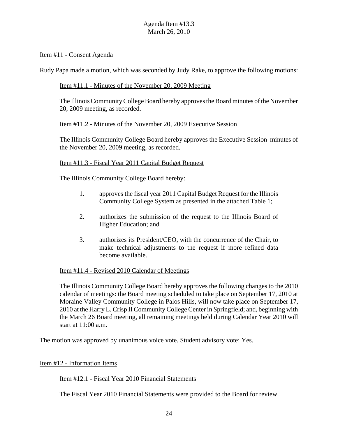## Item #11 - Consent Agenda

Rudy Papa made a motion, which was seconded by Judy Rake, to approve the following motions:

#### Item #11.1 - Minutes of the November 20, 2009 Meeting

The Illinois Community College Board hereby approves the Board minutes of the November 20, 2009 meeting, as recorded.

#### Item #11.2 - Minutes of the November 20, 2009 Executive Session

The Illinois Community College Board hereby approves the Executive Session minutes of the November 20, 2009 meeting, as recorded.

#### Item #11.3 - Fiscal Year 2011 Capital Budget Request

The Illinois Community College Board hereby:

- 1. approves the fiscal year 2011 Capital Budget Request for the Illinois Community College System as presented in the attached Table 1;
- 2. authorizes the submission of the request to the Illinois Board of Higher Education; and
- 3. authorizes its President/CEO, with the concurrence of the Chair, to make technical adjustments to the request if more refined data become available.

#### Item #11.4 - Revised 2010 Calendar of Meetings

The Illinois Community College Board hereby approves the following changes to the 2010 calendar of meetings: the Board meeting scheduled to take place on September 17, 2010 at Moraine Valley Community College in Palos Hills, will now take place on September 17, 2010 at the Harry L. Crisp II Community College Center in Springfield; and, beginning with the March 26 Board meeting, all remaining meetings held during Calendar Year 2010 will start at 11:00 a.m.

The motion was approved by unanimous voice vote. Student advisory vote: Yes.

#### Item #12 - Information Items

#### Item #12.1 - Fiscal Year 2010 Financial Statements

The Fiscal Year 2010 Financial Statements were provided to the Board for review.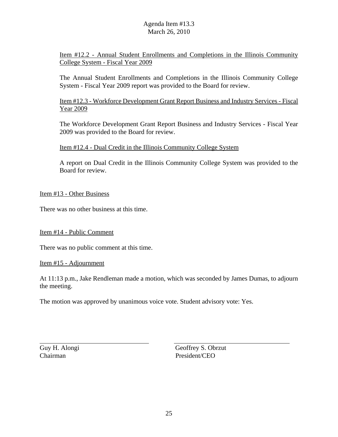Item #12.2 - Annual Student Enrollments and Completions in the Illinois Community College System - Fiscal Year 2009

The Annual Student Enrollments and Completions in the Illinois Community College System - Fiscal Year 2009 report was provided to the Board for review.

Item #12.3 - Workforce Development Grant Report Business and Industry Services - Fiscal Year 2009

The Workforce Development Grant Report Business and Industry Services - Fiscal Year 2009 was provided to the Board for review.

Item #12.4 - Dual Credit in the Illinois Community College System

A report on Dual Credit in the Illinois Community College System was provided to the Board for review.

Item #13 - Other Business

There was no other business at this time.

Item #14 - Public Comment

There was no public comment at this time.

Item #15 - Adjournment

At 11:13 p.m., Jake Rendleman made a motion, which was seconded by James Dumas, to adjourn the meeting.

The motion was approved by unanimous voice vote. Student advisory vote: Yes.

Chairman President/CEO

Guy H. Alongi Geoffrey S. Obrzut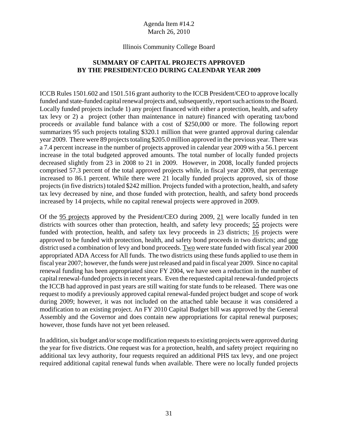#### Illinois Community College Board

# **SUMMARY OF CAPITAL PROJECTS APPROVED BY THE PRESIDENT/CEO DURING CALENDAR YEAR 2009**

ICCB Rules 1501.602 and 1501.516 grant authority to the ICCB President/CEO to approve locally funded and state-funded capital renewal projects and, subsequently, report such actions to the Board. Locally funded projects include 1) any project financed with either a protection, health, and safety tax levy or 2) a project (other than maintenance in nature) financed with operating tax/bond proceeds or available fund balance with a cost of \$250,000 or more. The following report summarizes 95 such projects totaling \$320.1 million that were granted approval during calendar year 2009. There were 89 projects totaling \$205.0 million approved in the previous year. There was a 7.4 percent increase in the number of projects approved in calendar year 2009 with a 56.1 percent increase in the total budgeted approved amounts. The total number of locally funded projects decreased slightly from 23 in 2008 to 21 in 2009. However, in 2008, locally funded projects comprised 57.3 percent of the total approved projects while, in fiscal year 2009, that percentage increased to 86.1 percent. While there were 21 locally funded projects approved, six of those projects (in five districts) totaled \$242 million. Projects funded with a protection, health, and safety tax levy decreased by nine, and those funded with protection, health, and safety bond proceeds increased by 14 projects, while no capital renewal projects were approved in 2009.

Of the 95 projects approved by the President/CEO during 2009, 21 were locally funded in ten districts with sources other than protection, health, and safety levy proceeds; 55 projects were funded with protection, health, and safety tax levy proceeds in 23 districts; 16 projects were approved to be funded with protection, health, and safety bond proceeds in two districts; and one district used a combination of levy and bond proceeds. Two were state funded with fiscal year 2000 appropriated ADA Access for All funds. The two districts using these funds applied to use them in fiscal year 2007; however, the funds were just released and paid in fiscal year 2009. Since no capital renewal funding has been appropriated since FY 2004, we have seen a reduction in the number of capital renewal-funded projects in recent years. Even the requested capital renewal-funded projects the ICCB had approved in past years are still waiting for state funds to be released. There was one request to modify a previously approved capital renewal-funded project budget and scope of work during 2009; however, it was not included on the attached table because it was considered a modification to an existing project. An FY 2010 Capital Budget bill was approved by the General Assembly and the Governor and does contain new appropriations for capital renewal purposes; however, those funds have not yet been released.

In addition, six budget and/or scope modification requests to existing projects were approved during the year for five districts. One request was for a protection, health, and safety project requiring no additional tax levy authority, four requests required an additional PHS tax levy, and one project required additional capital renewal funds when available. There were no locally funded projects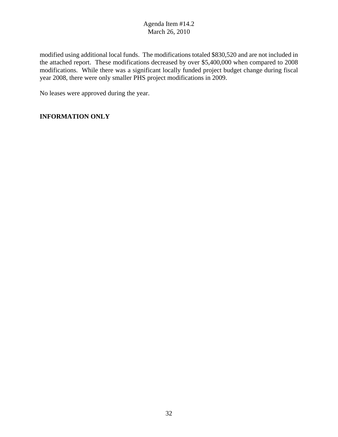modified using additional local funds. The modifications totaled \$830,520 and are not included in the attached report. These modifications decreased by over \$5,400,000 when compared to 2008 modifications. While there was a significant locally funded project budget change during fiscal year 2008, there were only smaller PHS project modifications in 2009.

No leases were approved during the year.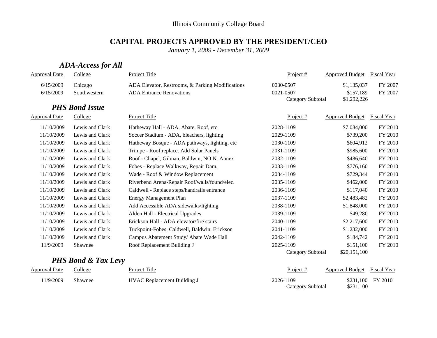#### **CAPITAL PROJECTS APPROVED BY THE PRESIDENT/CEO**

*January 1, 2009 - December 31, 2009*

# *ADA-Access for All*

| <b>Approval Date</b> | College               | Project Title                                    | Project #                | <b>Approved Budget</b> | Fiscal Year        |
|----------------------|-----------------------|--------------------------------------------------|--------------------------|------------------------|--------------------|
| 6/15/2009            | Chicago               | ADA Elevator, Restrooms, & Parking Modifications | 0030-0507                | \$1,135,037            | FY 2007            |
| 6/15/2009            | Southwestern          | <b>ADA Entrance Renovations</b>                  | 0021-0507                | \$157,189              | FY 2007            |
|                      |                       |                                                  | <b>Category Subtotal</b> | \$1,292,226            |                    |
|                      | <b>PHS Bond Issue</b> |                                                  |                          |                        |                    |
| <b>Approval Date</b> | College               | Project Title                                    | Project #                | <b>Approved Budget</b> | <b>Fiscal Year</b> |
| 11/10/2009           | Lewis and Clark       | Hatheway Hall - ADA, Abate. Roof, etc            | 2028-1109                | \$7,084,000            | FY 2010            |
| 11/10/2009           | Lewis and Clark       | Soccer Stadium - ADA, bleachers, lighting        | 2029-1109                | \$739,200              | FY 2010            |
| 11/10/2009           | Lewis and Clark       | Hatheway Bosque - ADA pathways, lighting, etc    | 2030-1109                | \$604,912              | FY 2010            |
| 11/10/2009           | Lewis and Clark       | Trimpe - Roof replace. Add Solar Panels          | 2031-1109                | \$985,600              | FY 2010            |
| 11/10/2009           | Lewis and Clark       | Roof - Chapel, Gilman, Baldwin, NO N. Annex      | 2032-1109                | \$486,640              | FY 2010            |
| 11/10/2009           | Lewis and Clark       | Fobes - Replace Walkway, Repair Dam.             | 2033-1109                | \$776,160              | FY 2010            |
| 11/10/2009           | Lewis and Clark       | Wade - Roof & Window Replacement                 | 2034-1109                | \$729,344              | FY 2010            |
| 11/10/2009           | Lewis and Clark       | Riverbend Arena-Repair Roof/walls/found/elec.    | 2035-1109                | \$462,000              | FY 2010            |
| 11/10/2009           | Lewis and Clark       | Caldwell - Replace steps/handrails entrance      | 2036-1109                | \$117,040              | FY 2010            |
| 11/10/2009           | Lewis and Clark       | <b>Energy Management Plan</b>                    | 2037-1109                | \$2,483,482            | FY 2010            |
| 11/10/2009           | Lewis and Clark       | Add Accessible ADA sidewalks/lighting            | 2038-1109                | \$1,848,000            | FY 2010            |
| 11/10/2009           | Lewis and Clark       | Alden Hall - Electrical Upgrades                 | 2039-1109                | \$49,280               | FY 2010            |
| 11/10/2009           | Lewis and Clark       | Erickson Hall - ADA elevator/fire stairs         | 2040-1109                | \$2,217,600            | FY 2010            |
| 11/10/2009           | Lewis and Clark       | Tuckpoint-Fobes, Caldwell, Baldwin, Erickson     | 2041-1109                | \$1,232,000            | FY 2010            |
| 11/10/2009           | Lewis and Clark       | Campus Abatement Study/ Abate Wade Hall          | 2042-1109                | \$184,742              | FY 2010            |
| 11/9/2009            | Shawnee               | Roof Replacement Building J                      | 2025-1109                | \$151,100              | FY 2010            |
|                      |                       |                                                  | Category Subtotal        | \$20,151,100           |                    |

# *PHS Bond & Tax Levy*

| <b>Approval Date</b> | College | Project Title                      | <u>Project #</u>               | Approved Budget Fiscal Year |                   |
|----------------------|---------|------------------------------------|--------------------------------|-----------------------------|-------------------|
| 1/9/2009             | Shawnee | <b>HVAC Replacement Building J</b> | 2026-1109<br>Category Subtotal | \$231,100                   | \$231,100 FY 2010 |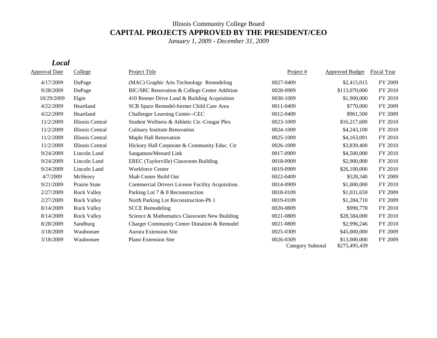# Illinois Community College Board **CAPITAL PROJECTS APPROVED BY THE PRESIDENT/CEO**

*January 1, 2009 - December 31, 2009*

#### *Local*

| <b>Approval Date</b> | College            | <b>Project Title</b>                             | Project $#$                    | <b>Approved Budget</b>        | <b>Fiscal Year</b> |
|----------------------|--------------------|--------------------------------------------------|--------------------------------|-------------------------------|--------------------|
| 4/17/2009            | DuPage             | (MAC) Graphic Arts Technology Remodeling         | 0027-0409                      | \$2,415,015                   | FY 2009            |
| 9/28/2009            | DuPage             | BIC/SRC Renovation & College Center Addition     | 0028-0909                      | \$113,070,000                 | FY 2010            |
| 10/29/2009           | Elgin              | 410 Renner Drive Land & Building Acquisition     | 0030-1009                      | \$1,900,000                   | FY 2010            |
| 4/22/2009            | Heartland          | SCB Space Remodel-former Child Care Area         | 0011-0409                      | \$770,000                     | FY 2009            |
| 4/22/2009            | Heartland          | Challenger Learning Center--CEC                  | 0012-0409                      | \$961,500                     | FY 2009            |
| 11/2/2009            | Illinois Central   | Student Wellness & Athletic Ctr.-Cougar Plex     | 0023-1009                      | \$16,217,600                  | FY 2010            |
| 11/2/2009            | Illinois Central   | <b>Culinary Institute Renovation</b>             | 0024-1009                      | \$4,243,100                   | FY 2010            |
| 11/2/2009            | Illinois Central   | Maple Hall Renovation                            | 0025-1009                      | \$4,163,091                   | FY 2010            |
| 11/2/2009            | Illinois Central   | Hickory Hall Corporate & Community Educ. Ctr     | 0026-1009                      | \$3,839,400                   | FY 2010            |
| 9/24/2009            | Lincoln Land       | Sangamon/Menard Link                             | 0017-0909                      | \$4,500,000                   | FY 2010            |
| 9/24/2009            | Lincoln Land       | EREC (Taylorville) Classroom Building            | 0018-0909                      | \$2,900,000                   | FY 2010            |
| 9/24/2009            | Lincoln Land       | <b>Workforce Center</b>                          | 0019-0909                      | \$26,100,000                  | FY 2010            |
| 4/7/2009             | McHenry            | Shah Center Build Out                            | 0022-0409                      | \$528,340                     | FY 2009            |
| 9/21/2009            | Prairie State      | Commercial Drivers License Facility Acquisition. | 0014-0909                      | \$1,000,000                   | FY 2010            |
| 2/27/2009            | <b>Rock Valley</b> | Parking Lot 7 & 8 Reconstruction                 | 0018-0109                      | \$1,031,659                   | FY 2009            |
| 2/27/2009            | <b>Rock Valley</b> | North Parking Lot Reconstruction-Ph 1            | 0019-0109                      | \$1,284,710                   | FY 2009            |
| 8/14/2009            | <b>Rock Valley</b> | <b>SCCE Remodeling</b>                           | 0020-0809                      | \$990,778                     | FY 2010            |
| 8/14/2009            | <b>Rock Valley</b> | Science & Mathematics Classroom New Building     | 0021-0809                      | \$28,584,000                  | FY 2010            |
| 8/28/2009            | Sandburg           | Charger Community Center Donation & Remodel      | 0021-0809                      | \$2,996,246                   | FY 2010            |
| 3/18/2009            | Waubonsee          | <b>Aurora Extension Site</b>                     | 0025-0309                      | \$45,000,000                  | FY 2009            |
| 3/18/2009            | Waubonsee          | <b>Plano Extension Site</b>                      | 0026-0309<br>Category Subtotal | \$13,000,000<br>\$275,495,439 | FY 2009            |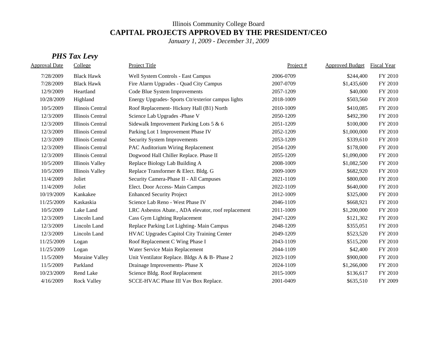# Illinois Community College Board **CAPITAL PROJECTS APPROVED BY THE PRESIDENT/CEO**

*January 1, 2009 - December 31, 2009*

# *PHS Tax Levy*

| <b>Approval Date</b> | College                | <b>Project Title</b>                                | Project # | <b>Approved Budget</b> | Fiscal Year |
|----------------------|------------------------|-----------------------------------------------------|-----------|------------------------|-------------|
| 7/28/2009            | <b>Black Hawk</b>      | Well System Controls - East Campus                  | 2006-0709 | \$244,400              | FY 2010     |
| 7/28/2009            | <b>Black Hawk</b>      | Fire Alarm Upgrades - Quad City Campus              | 2007-0709 | \$1,435,600            | FY 2010     |
| 12/9/2009            | Heartland              | Code Blue System Improvements                       | 2057-1209 | \$40,000               | FY 2010     |
| 10/28/2009           | Highland               | Energy Upgrades- Sports Ctr/exterior campus lights  | 2018-1009 | \$503,560              | FY 2010     |
| 10/5/2009            | Illinois Central       | Roof Replacement-Hickory Hall (B1) North            | 2010-1009 | \$410,085              | FY 2010     |
| 12/3/2009            | Illinois Central       | Science Lab Upgrades -Phase V                       | 2050-1209 | \$492,390              | FY 2010     |
| 12/3/2009            | Illinois Central       | Sidewalk Improvement Parking Lots 5 & 6             | 2051-1209 | \$100,000              | FY 2010     |
| 12/3/2009            | Illinois Central       | Parking Lot 1 Improvement Phase IV                  | 2052-1209 | \$1,000,000            | FY 2010     |
| 12/3/2009            | Illinois Central       | Security System Improvements                        | 2053-1209 | \$339,610              | FY 2010     |
| 12/3/2009            | Illinois Central       | PAC Auditorium Wiring Replacement                   | 2054-1209 | \$178,000              | FY 2010     |
| 12/3/2009            | Illinois Central       | Dogwood Hall Chiller Replace. Phase II              | 2055-1209 | \$1,090,000            | FY 2010     |
| 10/5/2009            | <b>Illinois Valley</b> | Replace Biology Lab Building A                      | 2008-1009 | \$1,082,500            | FY 2010     |
| 10/5/2009            | Illinois Valley        | Replace Transformer & Elect. Bldg. G                | 2009-1009 | \$682,920              | FY 2010     |
| 11/4/2009            | Joliet                 | Security Camera-Phase II - All Campuses             | 2021-1109 | \$800,000              | FY 2010     |
| 11/4/2009            | Joliet                 | Elect. Door Access- Main Campus                     | 2022-1109 | \$640,000              | FY 2010     |
| 10/19/2009           | Kankakee               | <b>Enhanced Security Project</b>                    | 2012-1009 | \$325,000              | FY 2010     |
| 11/25/2009           | Kaskaskia              | Science Lab Reno - West Phase IV                    | 2046-1109 | \$668,921              | FY 2010     |
| 10/5/2009            | Lake Land              | LRC Asbestos Abate., ADA elevator, roof replacement | 2011-1009 | \$1,200,000            | FY 2010     |
| 12/3/2009            | Lincoln Land           | <b>Cass Gym Lighting Replacement</b>                | 2047-1209 | \$121,302              | FY 2010     |
| 12/3/2009            | Lincoln Land           | Replace Parking Lot Lighting- Main Campus           | 2048-1209 | \$355,051              | FY 2010     |
| 12/3/2009            | Lincoln Land           | HVAC Upgrades Capitol City Training Center          | 2049-1209 | \$523,520              | FY 2010     |
| 11/25/2009           | Logan                  | Roof Replacement C Wing Phase I                     | 2043-1109 | \$515,200              | FY 2010     |
| 11/25/2009           | Logan                  | Water Service Main Replacement                      | 2044-1109 | \$42,400               | FY 2010     |
| 11/5/2009            | Moraine Valley         | Unit Ventilator Replace. Bldgs A & B- Phase 2       | 2023-1109 | \$900,000              | FY 2010     |
| 11/5/2009            | Parkland               | Drainage Improvements- Phase X                      | 2024-1109 | \$1,266,000            | FY 2010     |
| 10/23/2009           | Rend Lake              | Science Bldg. Roof Replacement                      | 2015-1009 | \$136,617              | FY 2010     |
| 4/16/2009            | <b>Rock Valley</b>     | SCCE-HVAC Phase III Vav Box Replace.                | 2001-0409 | \$635,510              | FY 2009     |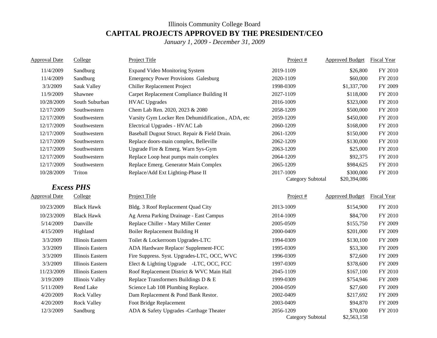# Illinois Community College Board **CAPITAL PROJECTS APPROVED BY THE PRESIDENT/CEO**

*January 1, 2009 - December 31, 2009*

| <b>Approval Date</b> | College                | Project Title                                      | Project#                 | <b>Approved Budget</b>      | <b>Fiscal Year</b> |
|----------------------|------------------------|----------------------------------------------------|--------------------------|-----------------------------|--------------------|
| 11/4/2009            | Sandburg               | <b>Expand Video Monitoring System</b>              | 2019-1109                | \$26,800                    | FY 2010            |
| 11/4/2009            | Sandburg               | <b>Emergency Power Provisions Galesburg</b>        | 2020-1109                | \$60,000                    | FY 2010            |
| 3/3/2009             | Sauk Valley            | Chiller Replacement Project                        | 1998-0309                | \$1,337,700                 | FY 2009            |
| 11/9/2009            | Shawnee                | Carpet Replacement Compliance Building H           | 2027-1109                | \$118,000                   | FY 2010            |
| 10/28/2009           | South Suburban         | <b>HVAC Upgrades</b>                               | 2016-1009                | \$323,000                   | FY 2010            |
| 12/17/2009           | Southwestern           | Chem Lab Ren. 2020, 2023 & 2080                    | 2058-1209                | \$500,000                   | FY 2010            |
| 12/17/2009           | Southwestern           | Varsity Gym Locker Ren Dehumidification., ADA, etc | 2059-1209                | \$450,000                   | FY 2010            |
| 12/17/2009           | Southwestern           | Electrical Upgrades - HVAC Lab                     | 2060-1209                | \$168,000                   | FY 2010            |
| 12/17/2009           | Southwestern           | Baseball Dugout Struct. Repair & Field Drain.      | 2061-1209                | \$150,000                   | FY 2010            |
| 12/17/2009           | Southwestern           | Replace doors-main complex, Belleville             | 2062-1209                | \$130,000                   | FY 2010            |
| 12/17/2009           | Southwestern           | Upgrade Fire & Emerg. Warn Sys-Gym                 | 2063-1209                | \$25,000                    | FY 2010            |
| 12/17/2009           | Southwestern           | Replace Loop heat pumps main complex               | 2064-1209                | \$92,375                    | FY 2010            |
| 12/17/2009           | Southwestern           | Replace Emerg. Generator Main Complex              | 2065-1209                | \$984,625                   | FY 2010            |
| 10/28/2009           | Triton                 | Replace/Add Ext Lighting-Phase II                  | 2017-1009                | \$300,000                   | FY 2010            |
|                      |                        |                                                    | <b>Category Subtotal</b> | \$20,394,086                |                    |
|                      | <b>Excess PHS</b>      |                                                    |                          |                             |                    |
| Approval Date        | College                | Project Title                                      | Project#                 | Approved Budget Fiscal Year |                    |
| 10/23/2009           | <b>Black Hawk</b>      | Bldg. 3 Roof Replacement Quad City                 | 2013-1009                | \$154,900                   | FY 2010            |
| 10/23/2009           | <b>Black Hawk</b>      | Ag Arena Parking Drainage - East Campus            | 2014-1009                | \$84,700                    | FY 2010            |
| 5/14/2009            | Danville               | Replace Chiller - Mary Miller Center               | 2005-0509                | \$155,750                   | FY 2009            |
| 4/15/2009            | Highland               | Boiler Replacement Building H                      | 2000-0409                | \$201,000                   | FY 2009            |
| 3/3/2009             | Illinois Eastern       | Toilet & Lockerroom Upgrades-LTC                   | 1994-0309                | \$130,100                   | FY 2009            |
| 3/3/2009             | Illinois Eastern       | ADA Hardware Replace/ Supplement-FCC               | 1995-0309                | \$53,300                    | FY 2009            |
| 3/3/2009             | Illinois Eastern       | Fire Suppress. Syst. Upgrades-LTC, OCC, WVC        | 1996-0309                | \$72,600                    | FY 2009            |
| 3/3/2009             | Illinois Eastern       | Elect & Lighting Upgrade -LTC, OCC, FCC            | 1997-0309                | \$378,600                   | FY 2009            |
| 11/23/2009           | Illinois Eastern       | Roof Replacement District & WVC Main Hall          | 2045-1109                | \$167,100                   | FY 2010            |
| 3/19/2009            | <b>Illinois Valley</b> | Replace Transformers Buildings D & E               | 1999-0309                | \$754,946                   | FY 2009            |
|                      | Rend Lake              | Science Lab 108 Plumbing Replace.                  | 2004-0509                | \$27,600                    | FY 2009            |
| 5/11/2009            | <b>Rock Valley</b>     | Dam Replacement & Pond Bank Restor.                | 2002-0409                | \$217,692                   | FY 2009            |
| 4/20/2009            |                        |                                                    |                          |                             |                    |
| 4/20/2009            | <b>Rock Valley</b>     | Foot Bridge Replacement                            | 2003-0409                | \$94,870                    | FY 2009            |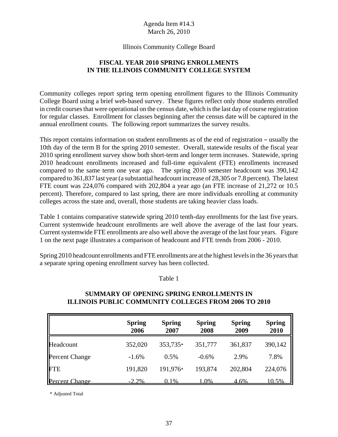#### Illinois Community College Board

# **FISCAL YEAR 2010 SPRING ENROLLMENTS IN THE ILLINOIS COMMUNITY COLLEGE SYSTEM**

Community colleges report spring term opening enrollment figures to the Illinois Community College Board using a brief web-based survey. These figures reflect only those students enrolled in credit courses that were operational on the census date, which is the last day of course registration for regular classes. Enrollment for classes beginning after the census date will be captured in the annual enrollment counts. The following report summarizes the survey results.

This report contains information on student enrollments as of the end of registration – usually the 10th day of the term B for the spring 2010 semester. Overall, statewide results of the fiscal year 2010 spring enrollment survey show both short-term and longer term increases. Statewide, spring 2010 headcount enrollments increased and full-time equivalent (FTE) enrollments increased compared to the same term one year ago. The spring 2010 semester headcount was 390,142 compared to 361,837 last year (a substantial headcount increase of 28,305 or 7.8 percent). The latest FTE count was 224,076 compared with 202,804 a year ago (an FTE increase of 21,272 or 10.5 percent). Therefore, compared to last spring, there are more individuals enrolling at community colleges across the state and, overall, those students are taking heavier class loads.

Table 1 contains comparative statewide spring 2010 tenth-day enrollments for the last five years. Current systemwide headcount enrollments are well above the average of the last four years. Current systemwide FTE enrollments are also well above the average of the last four years. Figure 1 on the next page illustrates a comparison of headcount and FTE trends from 2006 - 2010.

Spring 2010 headcount enrollments and FTE enrollments are at the highest levels in the 36 years that a separate spring opening enrollment survey has been collected.

Table 1

|                       | <b>Spring</b><br>2006 | <b>Spring</b><br>2007 | <b>Spring</b><br>2008 | <b>Spring</b><br>2009 | <b>Spring</b><br>2010 |
|-----------------------|-----------------------|-----------------------|-----------------------|-----------------------|-----------------------|
| Headcount             | 352,020               | 353,735*              | 351,777               | 361,837               | 390,142               |
| <b>Percent Change</b> | $-1.6%$               | 0.5%                  | $-0.6%$               | 2.9%                  | 7.8%                  |
| FTE                   | 191,820               | 191,976*              | 193,874               | 202,804               | 224,076               |
| Percent Change        | $-2.2\%$              | $0.1\%$               | 1.0%                  | <u>4.6%</u>           | 10.5%                 |

# **SUMMARY OF OPENING SPRING ENROLLMENTS IN ILLINOIS PUBLIC COMMUNITY COLLEGES FROM 2006 TO 2010**

\* Adjusted Total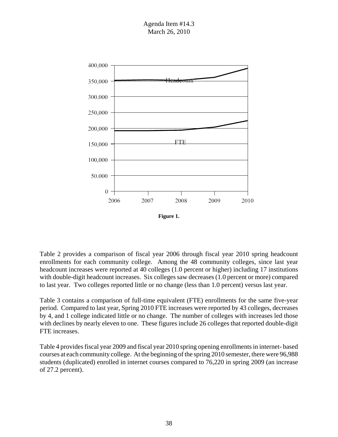



Table 2 provides a comparison of fiscal year 2006 through fiscal year 2010 spring headcount enrollments for each community college. Among the 48 community colleges, since last year headcount increases were reported at 40 colleges (1.0 percent or higher) including 17 institutions with double-digit headcount increases. Six colleges saw decreases (1.0 percent or more) compared to last year. Two colleges reported little or no change (less than 1.0 percent) versus last year.

Table 3 contains a comparison of full-time equivalent (FTE) enrollments for the same five-year period. Compared to last year, Spring 2010 FTE increases were reported by 43 colleges, decreases by 4, and 1 college indicated little or no change. The number of colleges with increases led those with declines by nearly eleven to one. These figures include 26 colleges that reported double-digit FTE increases.

Table 4 provides fiscal year 2009 and fiscal year 2010 spring opening enrollments in internet- based courses at each community college. At the beginning of the spring 2010 semester, there were 96,988 students (duplicated) enrolled in internet courses compared to 76,220 in spring 2009 (an increase of 27.2 percent).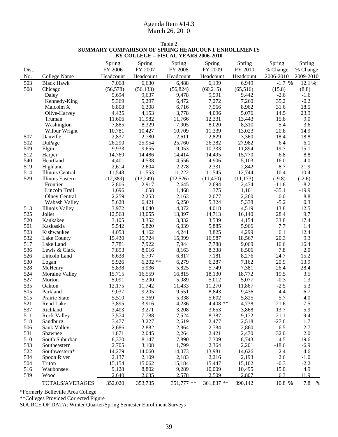#### Table 2 **SUMMARY COMPARISON OF SPRING HEADCOUNT ENROLLMENTS BY COLLEGE – FISCAL YEARS 2006-2010**

| Dist.      |                           | Spring<br>FY 2006 | Spring<br>FY 2007   | Spring<br>FY 2008 | Spring<br>FY 2009 | Spring<br>FY 2010 | Spring<br>% Change | Spring<br>% Change |
|------------|---------------------------|-------------------|---------------------|-------------------|-------------------|-------------------|--------------------|--------------------|
| No.        | <b>College Name</b>       | Headcount         | Headcount           | Headcount         | Headcount         | Headcount         | 2006-2010          | 2009-2010          |
| 503        | <b>Black Hawk</b>         | 7,068             | 6,630               | 6,488             | 6,199             | 6,949             | $-1.7%$            | 12.1%              |
| 508        | Chicago                   | (56, 578)         | (56, 133)           | (56, 824)         | (60, 215)         | (65,516)          | (15.8)             | (8.8)              |
|            | Daley                     | 9,694             | 9,637               | 9,478             | 9,591             | 9,442             | $-2.6$             | $-1.6$             |
|            | Kennedy-King              | 5,369             | 5,297               | 6,472             | 7,272             | 7,260             | 35.2               | $-0.2$             |
|            | Malcolm X                 | 6,808             | 6,308               | 6,716             | 7,566             | 8,962             | 31.6               | 18.5               |
|            | Olive-Harvey              | 4,435             | 4,153               | 3,778             | 4,096             | 5,076             | 14.5               | 23.9               |
|            | Truman                    | 11,606            | 11,982              | 11,766            | 12,331            | 13,443            | 15.8               | 9.0                |
|            | Washington                | 7,885             | 8,329               | 7,905             | 8,020             | 8,310             | 5.4                | 3.6                |
|            | Wilbur Wright             | 10,781            | 10,427              | 10,709            | 11,339            | 13,023            | 20.8               | 14.9               |
| 507        | Danville                  | 2,837             | 2,780               | 2,611             | 2,829             | 3,360             | 18.4               | 18.8               |
| 502        | DuPage                    | 26,290            | 25,954              | 25,760            | 26,382            | 27,982            | 6.4                | 6.1                |
| 509        | Elgin                     | 9,933             | 9,655               | 9,053             | 10,333            | 11,894            | 19.7               | 15.1               |
| 512        | Harper                    | 14,769            | 14,486              | 14,414            | 14,495            | 15,770            | 6.8                | 8.8                |
| 540        | Heartland                 | 4,401             | 4,538               | 4,556             | 4,906             | 5,103             | 16.0               | 4.0                |
| 519        | Highland                  | 2,614             | 2,604               | 2,278             | 2,331             | 2,842             | 8.7                | 21.9               |
| 514        | Illinois Central          | 11,548            | 11,553              | 11,222            | 11,545            | 12,744            | 10.4               | 10.4               |
| 529        | Illinois Eastern          | (12, 389)         | (13,249)            | (12,526)          | (11, 470)         | (11, 173)         | $(-9.8)$           | $(-2.6)$           |
|            | Frontier                  | 2,806             | 2,917               | 2,645             | 2,694             | 2,474             | $-11.8$            | $-8.2$             |
|            | Lincoln Trail             | 1,696             | 1,658               | 1,468             | 1,375             | 1,101             | $-35.1$            | $-19.9$            |
|            | <b>Olney Central</b>      | 2,259             | 2,253               | 2,163             | 2,077             | 2,260             | 0.0                | 8.8                |
|            | Wabash Valley             | 5,628             | 6,421               | 6,250             | 5,324             | 5,338             | $-5.2$             | 0.3                |
| 513        | <b>Illinois Valley</b>    | 3,972             | 4,040               | 4,072             | 4,018             | 4,519             | 13.8               | 12.5               |
| 525        | Joliet                    | 12,568            | 13,055              | 13,397            | 14,713            | 16,140            | 28.4               | 9.7                |
| 520        | Kankakee                  | 3,105             | 3,352               | 3,332             | 3,539             | 4,154             | 33.8               | 17.4               |
| 501        | Kaskaskia                 | 5,542             | 5,820               | 6,039             | 5,885             | 5,966             | 7.7                | 1.4                |
| 523        | Kishwaukee                | 4,053             | 4,162               | 4,241             | 3,825             | 4,299             | 6.1                | 12.4               |
| 532        | Lake County               | 15,430            | 15,724              | 15,999            | 16,987            | 18,567            | 20.3               | 9.3                |
| 517        | Lake Land                 | 7,781             | 7,922               | 7,944             | 7,788             | 9,069             | 16.6               | 16.4<br>2.0        |
| 536<br>526 | Lewis & Clark             | 7,893             | 8,016               | 8,163             | 8,338             | 8,506             | 7.8<br>24.7        | 15.2               |
| 530        | Lincoln Land              | 6,638             | 6,797<br>$6,202$ ** | 6,817<br>6,279    | 7,181<br>6,287    | 8,276<br>7,162    | 20.9               | 13.9               |
| 528        | Logan                     | 5,926<br>5,838    | 5,936               | 5,825             |                   | 7,381             |                    | 28.4               |
| 524        | McHenry<br>Moraine Valley | 15,715            | 16,559              | 16,815            | 5,749<br>18,130   | 18,772            | 26.4<br>19.5       | 3.5                |
| 527        | Morton                    | 5,091             | 5,200               | 5,089             | 5,012             | 5,077             | $-0.3$             | 1.3                |
| 535        | Oakton                    | 12,175            | 11,742              | 11,433            | 11,270            | 11,867            | $-2.5$             | 5.3                |
| 505        | Parkland                  | 9,037             | 9,205               | 9,551             | 8,843             | 9,436             | 4.4                | 6.7                |
| 515        | Prairie State             | 5,510             | 5,369               | 5,338             | 5,602             | 5,825             | 5.7                | 4.0                |
| 521        | Rend Lake                 | 3,895             | 3,916               | 4,236             | $4,408$ **        | 4,738             | 21.6               | 7.5                |
| 537        | Richland                  | 3,403             | 3,271               | 3,208             | 3,653             | 3,868             | 13.7               | 5.9                |
| 511        | <b>Rock Valley</b>        | 7,574             | 7,788               | 7,524             | 8,387             | 9,172             | 21.1               | 9.4                |
| 518        | Sandburg                  | 3,477             | 3,227               | 2,619             | 2,477             | 2,518             | $-27.6$            | 1.7                |
| 506        | Sauk Valley               | 2,686             | 2,882               | 2,864             | 2,784             | 2,860             | 6.5                | 2.7                |
| 531        | Shawnee                   | 1,871             | 2,045               | 2,264             | 2,421             | 2,470             | 32.0               | $2.0\,$            |
| 510        | South Suburban            | 8,370             | 8,147               | 7,890             | 7,309             | 8,743             | 4.5                | 19.6               |
| 533        | Southeastern              | 2,705             | 3,108               | 1,799             | 2,364             | 2,201             | $-18.6$            | $-6.9$             |
| 522        | Southwestern*             | 14,279            | 14,060              | 14,073            | 13,981            | 14,626            | 2.4                | 4.6                |
| 534        | Spoon River               | 2,137             | 2,109               | 2,183             | 2,216             | 2,193             | 2.6                | $-1.0$             |
| 504        | Triton                    | 15,154            | 15,062              | 15,184            | 15,447            | 15,102            | $-0.3$             | $-2.2$             |
| 516        | Waubonsee                 | 9,128             | 8,802               | 9,289             | 10,009            | 10,495            | 15.0               | 4.9                |
| 539        | Wood                      | 2.640             | 2.635               | 2.578             | 2.509             | 2.807             | 6.3                | 11.9               |
|            | TOTALS/AVERAGES           | 352,020           | 353,735             | 351,777 **        | 361,837 **        | 390,142           | 10.8 %             | 7.8 %              |

\*Formerly Belleville Area College

\*\*Colleges Provided Corrected Figure

SOURCE OF DATA: Winter Quarter/Spring Semester Enrollment Surveys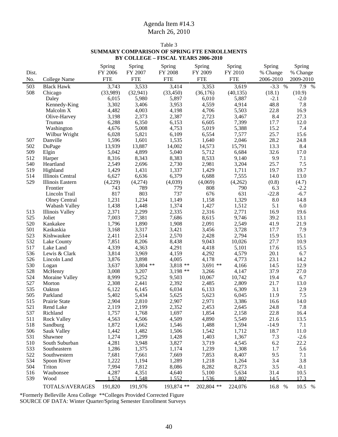|            | BY COLLEGE - FISCAL YEARS 2006-2010 |                |                |                |                 |                 |              |             |
|------------|-------------------------------------|----------------|----------------|----------------|-----------------|-----------------|--------------|-------------|
|            |                                     | Spring         | Spring         | Spring         | Spring          | Spring          | Spring       | Spring      |
| Dist.      |                                     | FY 2006        | FY 2007        | FY 2008        | FY 2009         | FY 2010         | % Change     | % Change    |
| No.        | College Name                        | <b>FTE</b>     | <b>FTE</b>     | <b>FTE</b>     | <b>FTE</b>      | <b>FTE</b>      | 2006-2010    | 2009-2010   |
| 503        | <b>Black Hawk</b>                   | 3,743          | 3,533          | 3,414          | 3,353           | 3,619           | $-3.3 %$     | 7.9 %       |
| 508        | Chicago                             | (33,989)       | (32, 941)      | (33, 450)      | (36,176)        | (40, 135)       | (18.1)       | (10.9)      |
|            | Daley                               | 6,015          | 5,980          | 5,897          | 6,010           | 5,887           | $-2.1$       | $-2.0$      |
|            | Kennedy-King                        | 3,302          | 3,406          | 3,953          | 4,559           | 4,914           | 48.8         | 7.8         |
|            | Malcolm X                           | 4,482          | 4,003          | 4,198          | 4,706           | 5,503           | 22.8         | 16.9        |
|            | Olive-Harvey                        | 3,198          | 2,373          | 2,387          | 2,723           | 3,467           | 8.4          | 27.3        |
|            | Truman                              | 6,288          | 6,350          | 6,153          | 6,605           | 7,399           | 17.7         | 12.0        |
|            | Washington                          | 4,676          | 5,008          | 4,753          | 5,019           | 5,388           | 15.2         | 7.4         |
|            | Wilbur Wright                       | 6,028          | 5,821          | 6,109          | 6,554           | 7,577           | 25.7         | 15.6        |
| 507        | Danville                            | 1,596          | 1,601          | 1,535          | 1,640           | 2,046           | 28.2         | 24.8        |
| 502        | DuPage                              | 13,939         | 13,887         | 14,002         | 14,573          | 15,791          | 13.3         | 8.4         |
| 509        | Elgin                               | 5,042          | 4,899          | 5,040          | 5,712           | 6,684           | 32.6         | 17.0        |
| 512        | Harper                              | 8,316          | 8,343          | 8,383          | 8,533           | 9,140           | 9.9          | 7.1         |
| 540        | Heartland                           | 2,549          | 2,696          | 2,730          | 2,981           | 3,204           | 25.7         | 7.5         |
| 519        | Highland                            | 1,429          | 1,431          | 1,337          | 1,429           | 1,711           | 19.7         | 19.7        |
| 514        | Illinois Central                    | 6,627          | 6,636          | 6,379          | 6,688           | 7,555           | 14.0         | 13.0        |
| 529        | Illinois Eastern                    | (4,229)        | (4,274)        | (4,039)        | (4,069)         | (4,262)         | (0.8)        | (4.7)       |
|            | Frontier                            | 743            | 789            | 779            | 808             | 790             | 6.3          | $-2.2$      |
|            | Lincoln Trail                       | 817            | 803            | 737            | 676             | 631             | $-22.8$      | $-6.7$      |
|            | <b>Olney Central</b>                | 1,231          | 1,234          | 1,149          | 1,158           | 1,329           | 8.0          | 14.8        |
|            | Wabash Valley                       | 1,438          | 1,448          | 1,374          | 1,427           | 1,512           | 5.1          | 6.0         |
| 513        | <b>Illinois Valley</b>              | 2,371          | 2,299          | 2,335          | 2,316           | 2,771           | 16.9         | 19.6        |
| 525        | Joliet                              | 7,003          | 7,381          | 7,686          | 8,615           | 9,746           | 39.2         | 13.1        |
| 520        | Kankakee                            | 1,796          | 1,890          | 1,908          | 2,091           | 2,549           | 41.9         | 21.9        |
| 501        | Kaskaskia                           | 3,168          | 3,317          | 3,421          | 3,456           | 3,728           | 17.7         | 7.9         |
| 523        | Kishwaukee                          | 2,411          | 2,514          | 2,570          | 2,428           | 2,794           | 15.9         | 15.1        |
| 532        | Lake County                         | 7,851          | 8,206          | 8,438          | 9,043           | 10,026          | 27.7         | 10.9        |
| 517        | Lake Land                           | 4,339          | 4,363          | 4,291          | 4,418           | 5,101           | 17.6         | 15.5        |
| 536        | Lewis & Clark                       | 3,814          | 3,969          | 4,159          | 4,292           | 4,579           | 20.1         | 6.7         |
| 526        | Lincoln Land                        | 3,876          | 3,898          | 4,005          | 4,178           | 4,773           | 23.1         | 14.2        |
| 530        | Logan                               | 3,637          | $3,804$ **     | $3,818**$      | $3,691$ **      | 4,166           | 14.5         | 12.9        |
| 528<br>524 | McHenry                             | 3,008<br>8,999 | 3,207          | $3,198$ **     | 3,266<br>10,067 | 4,147<br>10,742 | 37.9<br>19.4 | 27.0<br>6.7 |
| 527        | Moraine Valley<br>Morton            | 2,308          | 9,252<br>2,441 | 9,503<br>2,392 | 2,485           | 2,809           | 21.7         | 13.0        |
| 535        | Oakton                              | 6,122          | 6,145          | 6,034          | 6,133           | 6,309           | 3.1          | 2.9         |
| 505        | Parkland                            | 5,402          | 5,434          | 5,625          | 5,623           | 6,045           | 11.9         | 7.5         |
| 515        | Prairie State                       | 2,904          | 2,810          | 2,907          | 2,971           | 3,386           | 16.6         | 14.0        |
| 521        | Rend Lake                           | 2,119          | 2,199          | 2,352          | 2,453           | 2,645           | 24.8         | 7.8         |
| 537        | Richland                            | 1,757          | 1,768          | 1,697          | 1,854           | 2,158           | 22.8         | 16.4        |
| 511        | <b>Rock Valley</b>                  | 4,563          | 4,506          | 4,509          | 4,890           | 5,549           | 21.6         | 13.5        |
| 518        | Sandburg                            | 1,872          | 1,662          | 1,546          | 1,488           | 1,594           | $-14.9$      | 7.1         |
| 506        | Sauk Valley                         | 1,442          | 1,482          | 1,506          | 1,542           | 1,712           | 18.7         | 11.0        |
| 531        | Shawnee                             | 1,274          | 1,299          | 1,428          | 1,403           | 1,367           | 7.3          | $-2.6$      |
| 510        | South Suburban                      | 4,281          | 3,948          | 3,827          | 3,719           | 4,545           | 6.2          | 22.2        |
| 533        | Southeastern                        | 1,286          | 1,375          | 1,174          | 1,239           | 1,308           | 1.7          | 5.6         |
| 522        | Southwestern                        | 7,681          | 7,661          | 7,669          | 7,853           | 8,407           | 9.5          | 7.1         |
| 534        | Spoon River                         | 1,222          | 1,194          | 1,289          | 1,218           | 1,264           | 3.4          | 3.8         |
| 504        | Triton                              | 7,994          | 7,812          | 8,086          | 8,282           | 8,273           | 3.5          | $-0.1$      |
| 516        | Waubonsee                           | 4,287          | 4,351          | 4,640          | 5,100           | 5,634           | 31.4         | 10.5        |
| 539        | Wood                                | 1.574          | 1.548          | 1.552          | 1.536           | 1.802           | 14.5         | 17.3        |
|            | TOTALS/AVERAGES                     | 191,820        | 191,976        | 193,874 **     | 202,804 **      | 224,076         | 16.8 %       | 10.5 %      |

Table 3 **SUMMARY COMPARISON OF SPRING FTE ENROLLMENTS**

\*Formerly Belleville Area College \*\*Colleges Provided Corrected Figure SOURCE OF DATA: Winter Quarter/Spring Semester Enrollment Surveys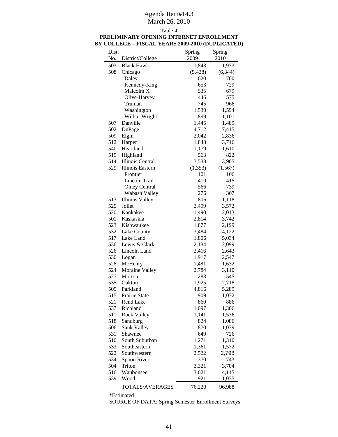# Agenda Item#14.3

# March 26, 2010

| Dist.<br>No. | District/College     | Spring<br>2009 | Spring<br>2010  |
|--------------|----------------------|----------------|-----------------|
|              |                      |                |                 |
| 503          | <b>Black Hawk</b>    | 1,843          | 1,973           |
| 508          | Chicago              | (5, 428)       | (6, 344)<br>700 |
|              | Daley                | 620            |                 |
|              | Kennedy-King         | 653            | 729             |
|              | Malcolm X            | 535            | 679             |
|              | Olive-Harvey         | 446            | 575             |
|              | Truman               | 745            | 966             |
|              | Washington           | 1,530          | 1,594           |
|              | Wilbur Wright        | 899            | 1,101           |
| 507          | Danville             | 1,445          | 1,489           |
| 502          | DuPage               | 4,712          | 7,415           |
| 509          | Elgin                | 2,042          | 2,836           |
| 512          | Harper               | 1,848          | 3,716           |
| 540          | Heartland            | 1,179          | 1,610           |
| 519          | Highland             | 563            | 822             |
| 514          | Illinois Central     | 3,538          | 3,905           |
| 529          | Illinois Eastern     | (1,353)        | (1, 567)        |
|              | Frontier             | 101            | 106             |
|              | Lincoln Trail        | 410            | 415             |
|              | <b>Olney Central</b> | 566            | 739             |
|              | Wabash Valley        | 276            | 307             |
| 513          | Illinois Valley      | 806            | 1,118           |
| 525          | Joliet               | 2,499          | 3,572           |
| 520          | Kankakee             | 1,490          | 2,013           |
| 501          | Kaskaskia            | 2,814          | 3,742           |
| 523          | Kishwaukee           | 1,877          | 2,199           |
| 532          | Lake County          | 3,484          | 4,122           |
| 517          | Lake Land            | 1,806          | 5,034           |
| 536          | Lewis & Clark        | 2,134          | 2,099           |
| 526          | Lincoln Land         | 2,416          | 2,643           |
| 530          | Logan                | 1,917          | 2,547           |
| 528          | McHenry              | 1,481          | 1,632           |
| 524          | Moraine Valley       | 2,784          | 3,110           |
| 527          | Morton               | 283            | 545             |
| 535          | Oakton               | 1,925          | 2,718           |
| 505          | Parkland             | 4,816          | 5,289           |
| 515          | Prairie State        | 909            | 1,072           |
| 521          | Rend Lake            | 860            | 886             |
| 537          | Richland             | 1,097          | 1,306           |
| 511          | <b>Rock Valley</b>   | 1,141          | 1,536           |
| 518          | Sandburg             | 824            | 1,086           |
| 506          | Sauk Valley          | 870            | 1,039           |
| 531          | Shawnee              | 649            | 726             |
| 510          | South Suburban       | 1,271          | 1,310           |
| 533          | Southeastern         | 1,361          | 1,572           |
| 522          | Southwestern         | 2,522          | 2,798           |
| 534          | Spoon River          | 370            | 743             |
| 504          | Triton               | 3,321          | 3,704           |
| 516          | Waubonsee            | 3,621          | 4,115           |
| 539          | Wood                 | 921            | 1.035           |
|              |                      |                | 96,988          |
|              | TOTALS/AVERAGES      | 76,220         |                 |

#### Table 4 **PRELIMINARY OPENING INTERNET ENROLLMENT BY COLLEGE – FISCAL YEARS 2009-2010 (DUPLICATED)**

\*Estimated

SOURCE OF DATA: Spring Semester Enrollment Surveys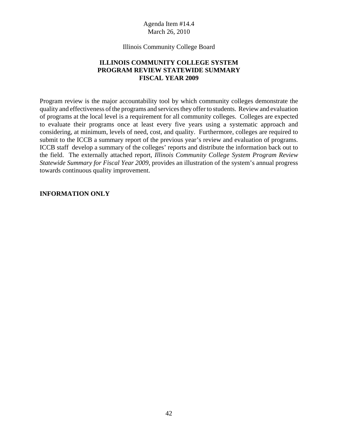Illinois Community College Board

# **ILLINOIS COMMUNITY COLLEGE SYSTEM PROGRAM REVIEW STATEWIDE SUMMARY FISCAL YEAR 2009**

Program review is the major accountability tool by which community colleges demonstrate the quality and effectiveness of the programs and services they offer to students. Review and evaluation of programs at the local level is a requirement for all community colleges. Colleges are expected to evaluate their programs once at least every five years using a systematic approach and considering, at minimum, levels of need, cost, and quality. Furthermore, colleges are required to submit to the ICCB a summary report of the previous year's review and evaluation of programs. ICCB staff develop a summary of the colleges' reports and distribute the information back out to the field. The externally attached report, *Illinois Community College System Program Review Statewide Summary for Fiscal Year 2009*, provides an illustration of the system's annual progress towards continuous quality improvement.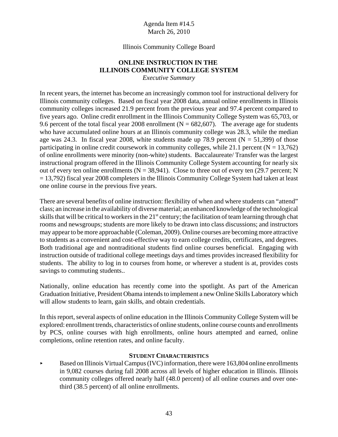#### Illinois Community College Board

#### **ONLINE INSTRUCTION IN THE ILLINOIS COMMUNITY COLLEGE SYSTEM** *Executive Summary*

In recent years, the internet has become an increasingly common tool for instructional delivery for Illinois community colleges. Based on fiscal year 2008 data, annual online enrollments in Illinois community colleges increased 21.9 percent from the previous year and 97.4 percent compared to five years ago. Online credit enrollment in the Illinois Community College System was 65,703, or 9.6 percent of the total fiscal year 2008 enrollment ( $N = 682,607$ ). The average age for students who have accumulated online hours at an Illinois community college was 28.3, while the median age was 24.3. In fiscal year 2008, white students made up 78.9 percent ( $N = 51,399$ ) of those participating in online credit coursework in community colleges, while 21.1 percent ( $N = 13,762$ ) of online enrollments were minority (non-white) students. Baccalaureate/ Transfer was the largest instructional program offered in the Illinois Community College System accounting for nearly six out of every ten online enrollments ( $N = 38,941$ ). Close to three out of every ten (29.7 percent; N = 13,792) fiscal year 2008 completers in the Illinois Community College System had taken at least one online course in the previous five years.

There are several benefits of online instruction: flexibility of when and where students can "attend" class; an increase in the availability of diverse material; an enhanced knowledge of the technological skills that will be critical to workers in the 21<sup>st</sup> century; the facilitation of team learning through chat rooms and newsgroups; students are more likely to be drawn into class discussions; and instructors may appear to be more approachable (Coleman, 2009). Online courses are becoming more attractive to students as a convenient and cost-effective way to earn college credits, certificates, and degrees. Both traditional age and nontraditional students find online courses beneficial. Engaging with instruction outside of traditional college meetings days and times provides increased flexibility for students. The ability to log in to courses from home, or wherever a student is at, provides costs savings to commuting students..

Nationally, online education has recently come into the spotlight. As part of the American Graduation Initiative, President Obama intends to implement a new Online Skills Laboratory which will allow students to learn, gain skills, and obtain credentials.

In this report, several aspects of online education in the Illinois Community College System will be explored: enrollment trends, characteristics of online students, online course counts and enrollments by PCS, online courses with high enrollments, online hours attempted and earned, online completions, online retention rates, and online faculty.

#### **STUDENT CHARACTERISTICS**

Based on Illinois Virtual Campus (IVC) information, there were 163,804 online enrollments in 9,082 courses during fall 2008 across all levels of higher education in Illinois. Illinois community colleges offered nearly half (48.0 percent) of all online courses and over onethird (38.5 percent) of all online enrollments.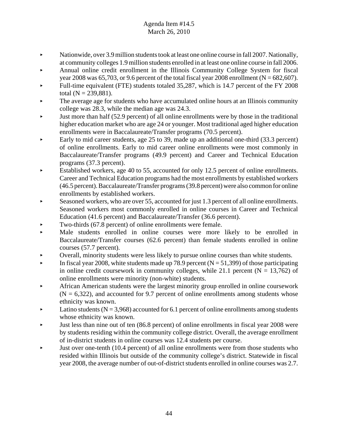- Mationwide, over 3.9 million students took at least one online course in fall 2007. Nationally, at community colleges 1.9 million students enrolled in at least one online course in fall 2006.
- < Annual online credit enrollment in the Illinois Community College System for fiscal year 2008 was 65,703, or 9.6 percent of the total fiscal year 2008 enrollment ( $N = 682,607$ ).
- Full-time equivalent (FTE) students totaled 35,287, which is 14.7 percent of the FY 2008 total  $(N = 239,881)$ .
- The average age for students who have accumulated online hours at an Illinois community college was 28.3, while the median age was 24.3.
- $\blacktriangleright$  Just more than half (52.9 percent) of all online enrollments were by those in the traditional higher education market who are age 24 or younger. Most traditional aged higher education enrollments were in Baccalaureate/Transfer programs (70.5 percent).
- Early to mid career students, age 25 to 39, made up an additional one-third  $(33.3 \text{ percent})$ of online enrollments. Early to mid career online enrollments were most commonly in Baccalaureate/Transfer programs (49.9 percent) and Career and Technical Education programs (37.3 percent).
- < Established workers, age 40 to 55, accounted for only 12.5 percent of online enrollments. Career and Technical Education programs had the most enrollments by established workers (46.5 percent). Baccalaureate/Transfer programs (39.8 percent) were also common for online enrollments by established workers.
- Seasoned workers, who are over 55, accounted for just 1.3 percent of all online enrollments. Seasoned workers most commonly enrolled in online courses in Career and Technical Education (41.6 percent) and Baccalaureate/Transfer (36.6 percent).
- $\blacktriangleright$  Two-thirds (67.8 percent) of online enrollments were female.
- < Male students enrolled in online courses were more likely to be enrolled in Baccalaureate/Transfer courses (62.6 percent) than female students enrolled in online courses (57.7 percent).
- < Overall, minority students were less likely to pursue online courses than white students.
- In fiscal year 2008, white students made up 78.9 percent ( $N = 51,399$ ) of those participating in online credit coursework in community colleges, while 21.1 percent  $(N = 13,762)$  of online enrollments were minority (non-white) students.
- < African American students were the largest minority group enrolled in online coursework  $(N = 6,322)$ , and accounted for 9.7 percent of online enrollments among students whose ethnicity was known.
- $\blacktriangleright$  Latino students (N = 3,968) accounted for 6.1 percent of online enrollments among students whose ethnicity was known.
- $\blacktriangleright$  Just less than nine out of ten (86.8 percent) of online enrollments in fiscal year 2008 were by students residing within the community college district. Overall, the average enrollment of in-district students in online courses was 12.4 students per course.
- $\blacktriangleright$  Just over one-tenth (10.4 percent) of all online enrollments were from those students who resided within Illinois but outside of the community college's district. Statewide in fiscal year 2008, the average number of out-of-district students enrolled in online courses was 2.7.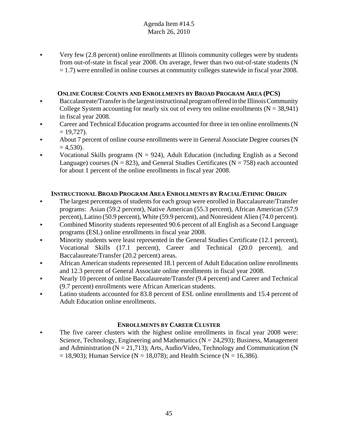$\blacktriangleright$  Very few (2.8 percent) online enrollments at Illinois community colleges were by students from out-of-state in fiscal year 2008. On average, fewer than two out-of-state students (N = 1.7) were enrolled in online courses at community colleges statewide in fiscal year 2008.

# **ONLINE COURSE COUNTS AND ENROLLMENTS BY BROAD PROGRAM AREA (PCS)**

- $\blacktriangleright$  Baccalaureate/Transfer is the largest instructional program offered in the Illinois Community College System accounting for nearly six out of every ten online enrollments  $(N = 38,941)$ in fiscal year 2008.
- < Career and Technical Education programs accounted for three in ten online enrollments (N  $= 19,727$ .
- < About 7 percent of online course enrollments were in General Associate Degree courses (N  $= 4,530$ .
- Vocational Skills programs ( $N = 924$ ), Adult Education (including English as a Second Language) courses ( $N = 823$ ), and General Studies Certificates ( $N = 758$ ) each accounted for about 1 percent of the online enrollments in fiscal year 2008.

# **INSTRUCTIONAL BROAD PROGRAM AREA ENROLLMENTS BY RACIAL/ETHNIC ORIGIN**

- $\blacktriangleright$  The largest percentages of students for each group were enrolled in Baccalaureate/Transfer programs: Asian (59.2 percent), Native American (55.3 percent), African American (57.9 percent), Latino (50.9 percent), White (59.9 percent), and Nonresident Alien (74.0 percent).
- Combined Minority students represented 90.6 percent of all English as a Second Language programs (ESL) online enrollments in fiscal year 2008.
- $\blacktriangleright$  Minority students were least represented in the General Studies Certificate (12.1 percent), Vocational Skills (17.1 percent), Career and Technical (20.0 percent), and Baccalaureate/Transfer (20.2 percent) areas.
- < African American students represented 18.1 percent of Adult Education online enrollments and 12.3 percent of General Associate online enrollments in fiscal year 2008.
- Extending Nearly 10 percent of online Baccalaureate/Transfer (9.4 percent) and Career and Technical (9.7 percent) enrollments were African American students.
- Latino students accounted for 83.8 percent of ESL online enrollments and 15.4 percent of Adult Education online enrollments.

# **ENROLLMENTS BY CAREER CLUSTER**

 $\blacktriangleright$  The five career clusters with the highest online enrollments in fiscal year 2008 were: Science, Technology, Engineering and Mathematics ( $N = 24,293$ ); Business, Management and Administration ( $N = 21,713$ ); Arts, Audio/Video, Technology and Communication ( $N$  $= 18,903$ ; Human Service (N = 18,078); and Health Science (N = 16,386).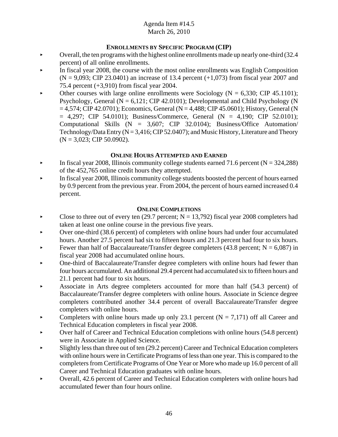# **ENROLLMENTS BY SPECIFIC PROGRAM (CIP)**

- $\triangleright$  Overall, the ten programs with the highest online enrollments made up nearly one-third (32.4) percent) of all online enrollments.
- $\blacktriangleright$  In fiscal year 2008, the course with the most online enrollments was English Composition  $(N = 9,093; CIP 23.0401)$  an increase of 13.4 percent  $(+1,073)$  from fiscal year 2007 and 75.4 percent (+3,910) from fiscal year 2004.
- $\blacktriangleright$  Other courses with large online enrollments were Sociology (N = 6,330; CIP 45.1101); Psychology, General ( $N = 6,121$ ; CIP 42.0101); Developmental and Child Psychology (N  $= 4,574$ ; CIP 42.0701); Economics, General (N = 4,488; CIP 45.0601); History, General (N  $= 4,297$ ; CIP 54.0101); Business/Commerce, General (N = 4,190; CIP 52.0101); Computational Skills (N = 3,607; CIP 32.0104); Business/Office Automation/ Technology/Data Entry  $(N = 3,416; CIP 52.0407)$ ; and Music History, Literature and Theory  $(N = 3,023; CIP 50.0902).$

# **ONLINE HOURS ATTEMPTED AND EARNED**

- $\blacktriangleright$  In fiscal year 2008, Illinois community college students earned 71.6 percent (N = 324,288) of the 452,765 online credit hours they attempted.
- In fiscal year 2008, Illinois community college students boosted the percent of hours earned by 0.9 percent from the previous year. From 2004, the percent of hours earned increased 0.4 percent.

#### **ONLINE COMPLETIONS**

- Close to three out of every ten (29.7 percent;  $N = 13,792$ ) fiscal year 2008 completers had taken at least one online course in the previous five years.
- $\triangleright$  Over one-third (38.6 percent) of completers with online hours had under four accumulated hours. Another 27.5 percent had six to fifteen hours and 21.3 percent had four to six hours.
- Fewer than half of Baccalaureate/Transfer degree completers (43.8 percent;  $N = 6,087$ ) in fiscal year 2008 had accumulated online hours.
- < One-third of Baccalaureate/Transfer degree completers with online hours had fewer than four hours accumulated. An additional 29.4 percent had accumulated six to fifteen hours and 21.1 percent had four to six hours.
- Associate in Arts degree completers accounted for more than half  $(54.3 \text{ percent})$  of Baccalaureate/Transfer degree completers with online hours. Associate in Science degree completers contributed another 34.4 percent of overall Baccalaureate/Transfer degree completers with online hours.
- Completers with online hours made up only 23.1 percent  $(N = 7,171)$  off all Career and Technical Education completers in fiscal year 2008.
- < Over half of Career and Technical Education completions with online hours (54.8 percent) were in Associate in Applied Science.
- $\blacktriangleright$  Slightly less than three out of ten (29.2 percent) Career and Technical Education completers with online hours were in Certificate Programs of less than one year. This is compared to the completers from Certificate Programs of One Year or More who made up 16.0 percent of all Career and Technical Education graduates with online hours.
- < Overall, 42.6 percent of Career and Technical Education completers with online hours had accumulated fewer than four hours online.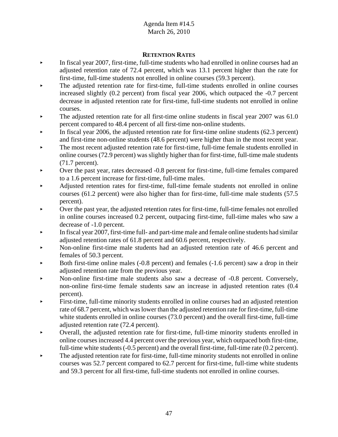# **RETENTION RATES**

- < In fiscal year 2007, first-time, full-time students who had enrolled in online courses had an adjusted retention rate of 72.4 percent, which was 13.1 percent higher than the rate for first-time, full-time students not enrolled in online courses (59.3 percent).
- < The adjusted retention rate for first-time, full-time students enrolled in online courses increased slightly (0.2 percent) from fiscal year 2006, which outpaced the -0.7 percent decrease in adjusted retention rate for first-time, full-time students not enrolled in online courses.
- $\blacktriangleright$  The adjusted retention rate for all first-time online students in fiscal year 2007 was 61.0 percent compared to 48.4 percent of all first-time non-online students.
- In fiscal year 2006, the adjusted retention rate for first-time online students  $(62.3 \text{ percent})$ and first-time non-online students (48.6 percent) were higher than in the most recent year.
- The most recent adjusted retention rate for first-time, full-time female students enrolled in online courses (72.9 percent) was slightly higher than for first-time, full-time male students (71.7 percent).
- Over the past year, rates decreased -0.8 percent for first-time, full-time females compared to a 1.6 percent increase for first-time, full-time males.
- < Adjusted retention rates for first-time, full-time female students not enrolled in online courses (61.2 percent) were also higher than for first-time, full-time male students (57.5 percent).
- < Over the past year, the adjusted retention rates for first-time, full-time females not enrolled in online courses increased 0.2 percent, outpacing first-time, full-time males who saw a decrease of -1.0 percent.
- $\blacktriangleright$  In fiscal year 2007, first-time full- and part-time male and female online students had similar adjusted retention rates of 61.8 percent and 60.6 percent, respectively.
- Non-online first-time male students had an adjusted retention rate of 46.6 percent and females of 50.3 percent.
- Both first-time online males  $(-0.8 \text{ percent})$  and females  $(-1.6 \text{ percent})$  saw a drop in their adjusted retention rate from the previous year.
- $\blacktriangleright$  Non-online first-time male students also saw a decrease of -0.8 percent. Conversely, non-online first-time female students saw an increase in adjusted retention rates (0.4 percent).
- < First-time, full-time minority students enrolled in online courses had an adjusted retention rate of 68.7 percent, which was lower than the adjusted retention rate for first-time, full-time white students enrolled in online courses (73.0 percent) and the overall first-time, full-time adjusted retention rate (72.4 percent).
- < Overall, the adjusted retention rate for first-time, full-time minority students enrolled in online courses increased 4.4 percent over the previous year, which outpaced both first-time, full-time white students (-0.5 percent) and the overall first-time, full-time rate (0.2 percent).
- $\blacktriangleright$  The adjusted retention rate for first-time, full-time minority students not enrolled in online courses was 52.7 percent compared to 62.7 percent for first-time, full-time white students and 59.3 percent for all first-time, full-time students not enrolled in online courses.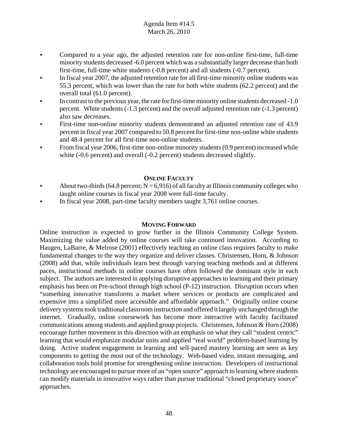- $\triangleright$  Compared to a year ago, the adjusted retention rate for non-online first-time, full-time minority students decreased -6.0 percent which was a substantially larger decrease than both first-time, full-time white students (-0.8 percent) and all students (-0.7 percent).
- $\blacktriangleright$  In fiscal year 2007, the adjusted retention rate for all first-time minority online students was 55.3 percent, which was lower than the rate for both white students (62.2 percent) and the overall total (61.0 percent).
- In contrast to the previous year, the rate for first-time minority online students decreased -1.0 percent. White students (-1.3 percent) and the overall adjusted retention rate (-1.3 percent) also saw decreases.
- First-time non-online minority students demonstrated an adjusted retention rate of 43.9 percent in fiscal year 2007 compared to 50.8 percent for first-time non-online white students and 48.4 percent for all first-time non-online students.
- From fiscal year 2006, first-time non-online minority students (0.9 percent) increased while white (-0.6 percent) and overall (-0.2 percent) students decreased slightly.

# **ONLINE FACULTY**

- About two-thirds (64.8 percent;  $N = 6,916$ ) of all faculty at Illinois community colleges who taught online courses in fiscal year 2008 were full-time faculty.
- < In fiscal year 2008, part-time faculty members taught 3,761 online courses.

# **MOVING FORWARD**

Online instruction is expected to grow further in the Illinois Community College System. Maximizing the value added by online courses will take continued innovation. According to Haugen, LaBarre, & Melrose (2001) effectively teaching an online class requires faculty to make fundamental changes to the way they organize and deliver classes. Christensen, Horn, & Johnson (2008) add that, while individuals learn best through varying teaching methods and at different paces, instructional methods in online courses have often followed the dominant style in each subject. The authors are interested in applying disruptive approaches to learning and their primary emphasis has been on Pre-school through high school (P-12) instruction. Disruption occurs when "something innovative transforms a market where services or products are complicated and expensive into a simplified more accessible and affordable approach." Originally online course delivery systems took traditional classroom instruction and offered it largely unchanged through the internet. Gradually, online coursework has become more interactive with faculty facilitated communications among students and applied group projects. Christensen, Johnson & Horn (2008) encourage further movement in this direction with an emphasis on what they call "student centric" learning that would emphasize modular units and applied "real world" problem-based learning by doing. Active student engagement in learning and self-paced mastery learning are seen as key components to getting the most out of the technology. Web-based video, instant messaging, and collaboration tools hold promise for strengthening online instruction. Developers of instructional technology are encouraged to pursue more of an "open source" approach to learning where students can modify materials in innovative ways rather than pursue traditional "closed proprietary source" approaches.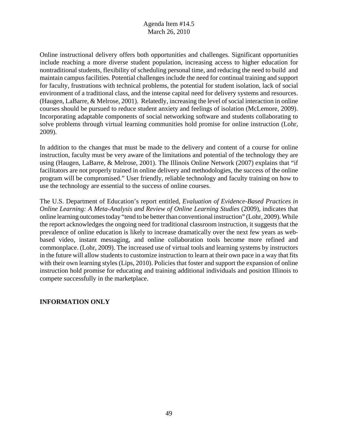Online instructional delivery offers both opportunities and challenges. Significant opportunities include reaching a more diverse student population, increasing access to higher education for nontraditional students, flexibility of scheduling personal time, and reducing the need to build and maintain campus facilities. Potential challenges include the need for continual training and support for faculty, frustrations with technical problems, the potential for student isolation, lack of social environment of a traditional class, and the intense capital need for delivery systems and resources. (Haugen, LaBarre, & Melrose, 2001). Relatedly, increasing the level of social interaction in online courses should be pursued to reduce student anxiety and feelings of isolation (McLemore, 2009). Incorporating adaptable components of social networking software and students collaborating to solve problems through virtual learning communities hold promise for online instruction (Lohr, 2009).

In addition to the changes that must be made to the delivery and content of a course for online instruction, faculty must be very aware of the limitations and potential of the technology they are using (Haugen, LaBarre, & Melrose, 2001). The Illinois Online Network (2007) explains that "if facilitators are not properly trained in online delivery and methodologies, the success of the online program will be compromised." User friendly, reliable technology and faculty training on how to use the technology are essential to the success of online courses.

The U.S. Department of Education's report entitled, *Evaluation of Evidence-Based Practices in Online Learning: A Meta-Analysis and Review of Online Learning Studies* (2009), indicates that online learning outcomes today "tend to be better than conventional instruction" (Lohr, 2009). While the report acknowledges the ongoing need for traditional classroom instruction, it suggests that the prevalence of online education is likely to increase dramatically over the next few years as webbased video, instant messaging, and online collaboration tools become more refined and commonplace. (Lohr, 2009). The increased use of virtual tools and learning systems by instructors in the future will allow students to customize instruction to learn at their own pace in a way that fits with their own learning styles (Lips, 2010). Policies that foster and support the expansion of online instruction hold promise for educating and training additional individuals and position Illinois to compete successfully in the marketplace.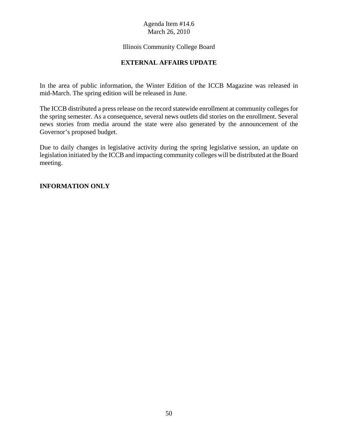# Illinois Community College Board

# **EXTERNAL AFFAIRS UPDATE**

In the area of public information, the Winter Edition of the ICCB Magazine was released in mid-March. The spring edition will be released in June.

The ICCB distributed a press release on the record statewide enrollment at community colleges for the spring semester. As a consequence, several news outlets did stories on the enrollment. Several news stories from media around the state were also generated by the announcement of the Governor's proposed budget.

Due to daily changes in legislative activity during the spring legislative session, an update on legislation initiated by the ICCB and impacting community colleges will be distributed at the Board meeting.